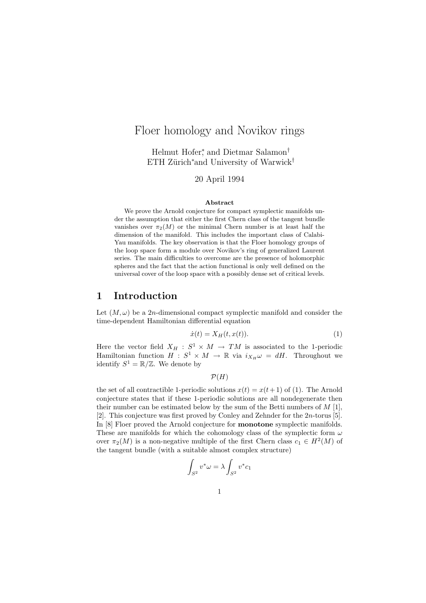# Floer homology and Novikov rings

Helmut Hofer<sup>∗</sup> , and Dietmar Salamon† ETH Zürich<sup>\*</sup>and University of Warwick<sup>†</sup>

### 20 April 1994

#### Abstract

We prove the Arnold conjecture for compact symplectic manifolds under the assumption that either the first Chern class of the tangent bundle vanishes over  $\pi_2(M)$  or the minimal Chern number is at least half the dimension of the manifold. This includes the important class of Calabi-Yau manifolds. The key observation is that the Floer homology groups of the loop space form a module over Novikov's ring of generalized Laurent series. The main difficulties to overcome are the presence of holomorphic spheres and the fact that the action functional is only well defined on the universal cover of the loop space with a possibly dense set of critical levels.

### 1 Introduction

Let  $(M, \omega)$  be a 2n-dimensional compact symplectic manifold and consider the time-dependent Hamiltonian differential equation

$$
\dot{x}(t) = X_H(t, x(t)).\tag{1}
$$

Here the vector field  $X_H : S^1 \times M \to TM$  is associated to the 1-periodic Hamiltonian function  $H : S^1 \times M \to \mathbb{R}$  via  $i_{X_H} \omega = dH$ . Throughout we identify  $S^1 = \mathbb{R}/\mathbb{Z}$ . We denote by

 $\mathcal{P}(H)$ 

the set of all contractible 1-periodic solutions  $x(t) = x(t+1)$  of (1). The Arnold conjecture states that if these 1-periodic solutions are all nondegenerate then their number can be estimated below by the sum of the Betti numbers of  $M$  [1], [2]. This conjecture was first proved by Conley and Zehnder for the 2n-torus [5]. In [8] Floer proved the Arnold conjecture for **monotone** symplectic manifolds. These are manifolds for which the cohomology class of the symplectic form  $\omega$ over  $\pi_2(M)$  is a non-negative multiple of the first Chern class  $c_1 \in H^2(M)$  of the tangent bundle (with a suitable almost complex structure)

$$
\int_{S^2} v^*\omega = \lambda \int_{S^2} v^* c_1
$$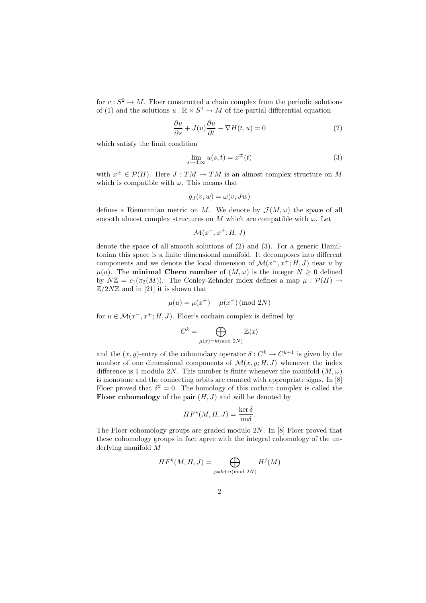for  $v : S^2 \to M$ . Floer constructed a chain complex from the periodic solutions of (1) and the solutions  $u : \mathbb{R} \times S^1 \to M$  of the partial differential equation

$$
\frac{\partial u}{\partial s} + J(u)\frac{\partial u}{\partial t} - \nabla H(t, u) = 0
$$
\n(2)

which satisfy the limit condition

$$
\lim_{s \to \pm \infty} u(s, t) = x^{\pm}(t)
$$
\n(3)

with  $x^{\pm} \in \mathcal{P}(H)$ . Here  $J: TM \to TM$  is an almost complex structure on M which is compatible with  $\omega$ . This means that

$$
g_J(v, w) = \omega(v, Jw)
$$

defines a Riemannian metric on M. We denote by  $\mathcal{J}(M,\omega)$  the space of all smooth almost complex structures on M which are compatible with  $\omega$ . Let

$$
\mathcal{M}(x^-, x^+; H, J)
$$

denote the space of all smooth solutions of (2) and (3). For a generic Hamiltonian this space is a finite dimensional manifold. It decomposes into different components and we denote the local dimension of  $\mathcal{M}(x^-, x^+; H, J)$  near u by  $\mu(u)$ . The **minimal Chern number** of  $(M,\omega)$  is the integer  $N \geq 0$  defined by  $N\mathbb{Z} = c_1(\pi_2(M))$ . The Conley-Zehnder index defines a map  $\mu : \mathcal{P}(H) \to$  $\mathbb{Z}/2N\mathbb{Z}$  and in [21] it is shown that

$$
\mu(u) = \mu(x^+) - \mu(x^-) \pmod{2N}
$$

for  $u \in \mathcal{M}(x^-, x^+; H, J)$ . Floer's cochain complex is defined by

$$
C^k = \bigoplus_{\mu(x)=k \text{ (mod } 2N)} \mathbb{Z}\langle x \rangle
$$

and the  $(x, y)$ -entry of the coboundary operator  $\delta: C^k \to C^{k+1}$  is given by the number of one dimensional components of  $\mathcal{M}(x, y; H, J)$  whenever the index difference is 1 modulo 2N. This number is finite whenever the manifold  $(M, \omega)$ is monotone and the connecting orbits are counted with appropriate signs. In [8] Floer proved that  $\delta^2 = 0$ . The homology of this cochain complex is called the Floer cohomology of the pair  $(H, J)$  and will be denoted by

$$
HF^*(M, H, J) = \frac{\ker \delta}{\mathrm{im}\delta}.
$$

The Floer cohomology groups are graded modulo  $2N$ . In [8] Floer proved that these cohomology groups in fact agree with the integral cohomology of the underlying manifold M

$$
HF^k(M, H, J) = \bigoplus_{j = k + n \pmod{2N}} H^j(M)
$$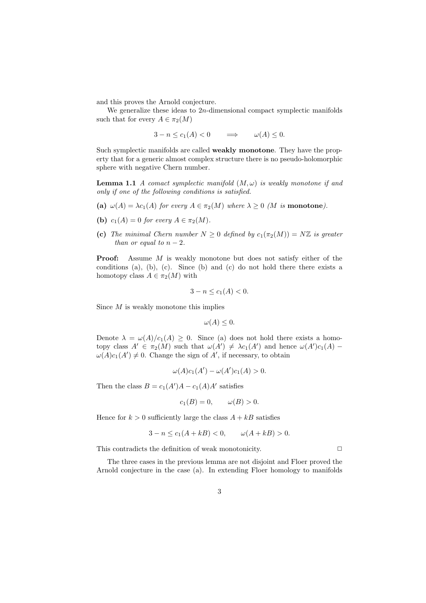and this proves the Arnold conjecture.

We generalize these ideas to  $2n$ -dimensional compact symplectic manifolds such that for every  $A \in \pi_2(M)$ 

 $3-n \leq c_1(A) < 0 \implies \omega(A) \leq 0.$ 

Such symplectic manifolds are called weakly monotone. They have the property that for a generic almost complex structure there is no pseudo-holomorphic sphere with negative Chern number.

**Lemma 1.1** A comact symplectic manifold  $(M, \omega)$  is weakly monotone if and only if one of the following conditions is satisfied.

- (a)  $\omega(A) = \lambda c_1(A)$  for every  $A \in \pi_2(M)$  where  $\lambda \geq 0$  (M is monotone).
- (b)  $c_1(A) = 0$  for every  $A \in \pi_2(M)$ .
- (c) The minimal Chern number  $N \geq 0$  defined by  $c_1(\pi_2(M)) = N\mathbb{Z}$  is greater than or equal to  $n-2$ .

**Proof:** Assume M is weakly monotone but does not satisfy either of the conditions (a), (b), (c). Since (b) and (c) do not hold there there exists a homotopy class  $A \in \pi_2(M)$  with

$$
3 - n \le c_1(A) < 0.
$$

Since  $M$  is weakly monotone this implies

$$
\omega(A)\leq 0.
$$

Denote  $\lambda = \omega(A)/c_1(A) \geq 0$ . Since (a) does not hold there exists a homotopy class  $A' \in \pi_2(M)$  such that  $\omega(A') \neq \lambda c_1(A')$  and hence  $\omega(A')c_1(A)$  $\omega(A)c_1(A') \neq 0$ . Change the sign of A', if necessary, to obtain

$$
\omega(A)c_1(A') - \omega(A')c_1(A) > 0.
$$

Then the class  $B = c_1(A')A - c_1(A)A'$  satisfies

$$
c_1(B) = 0, \qquad \omega(B) > 0.
$$

Hence for  $k > 0$  sufficiently large the class  $A + kB$  satisfies

$$
3 - n \le c_1(A + kB) < 0, \qquad \omega(A + kB) > 0.
$$

This contradicts the definition of weak monotonicity.  $\Box$ 

The three cases in the previous lemma are not disjoint and Floer proved the Arnold conjecture in the case (a). In extending Floer homology to manifolds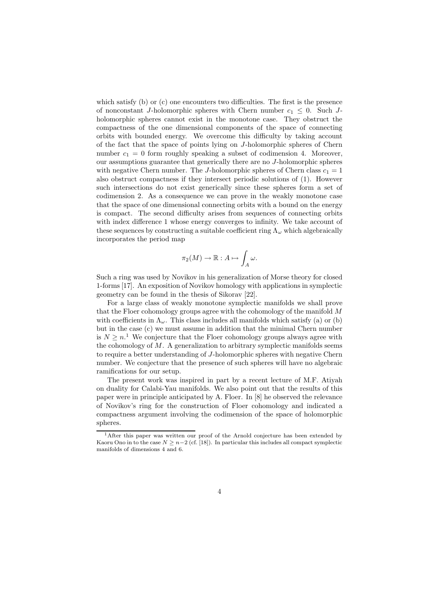which satisfy (b) or (c) one encounters two difficulties. The first is the presence of nonconstant J-holomorphic spheres with Chern number  $c_1 \leq 0$ . Such Jholomorphic spheres cannot exist in the monotone case. They obstruct the compactness of the one dimensional components of the space of connecting orbits with bounded energy. We overcome this difficulty by taking account of the fact that the space of points lying on J-holomorphic spheres of Chern number  $c_1 = 0$  form roughly speaking a subset of codimension 4. Moreover, our assumptions guarantee that generically there are no J-holomorphic spheres with negative Chern number. The J-holomorphic spheres of Chern class  $c_1 = 1$ also obstruct compactness if they intersect periodic solutions of (1). However such intersections do not exist generically since these spheres form a set of codimension 2. As a consequence we can prove in the weakly monotone case that the space of one dimensional connecting orbits with a bound on the energy is compact. The second difficulty arises from sequences of connecting orbits with index difference 1 whose energy converges to infinity. We take account of these sequences by constructing a suitable coefficient ring  $\Lambda_{\omega}$  which algebraically incorporates the period map

$$
\pi_2(M) \to \mathbb{R}: A \mapsto \int_A \omega.
$$

Such a ring was used by Novikov in his generalization of Morse theory for closed 1-forms [17]. An exposition of Novikov homology with applications in symplectic geometry can be found in the thesis of Sikorav [22].

For a large class of weakly monotone symplectic manifolds we shall prove that the Floer cohomology groups agree with the cohomology of the manifold  $M$ with coefficients in  $\Lambda_{\omega}$ . This class includes all manifolds which satisfy (a) or (b) but in the case (c) we must assume in addition that the minimal Chern number is  $N \geq n$ .<sup>1</sup> We conjecture that the Floer cohomology groups always agree with the cohomology of  $M$ . A generalization to arbitrary symplectic manifolds seems to require a better understanding of J-holomorphic spheres with negative Chern number. We conjecture that the presence of such spheres will have no algebraic ramifications for our setup.

The present work was inspired in part by a recent lecture of M.F. Atiyah on duality for Calabi-Yau manifolds. We also point out that the results of this paper were in principle anticipated by A. Floer. In [8] he observed the relevance of Novikov's ring for the construction of Floer cohomology and indicated a compactness argument involving the codimension of the space of holomorphic spheres.

<sup>&</sup>lt;sup>1</sup>After this paper was written our proof of the Arnold conjecture has been extended by Kaoru Ono in to the case  $N \geq n-2$  (cf. [18]). In particular this includes all compact symplectic manifolds of dimensions 4 and 6.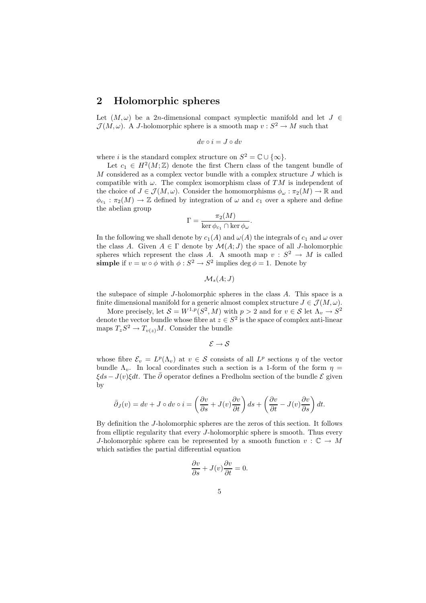### 2 Holomorphic spheres

Let  $(M, \omega)$  be a 2n-dimensional compact symplectic manifold and let  $J \in$  $\mathcal{J}(M,\omega)$ . A J-holomorphic sphere is a smooth map  $v : S^2 \to M$  such that

$$
dv \circ i = J \circ dv
$$

where *i* is the standard complex structure on  $S^2 = \mathbb{C} \cup \{\infty\}.$ 

Let  $c_1 \in H^2(M;\mathbb{Z})$  denote the first Chern class of the tangent bundle of  $M$  considered as a complex vector bundle with a complex structure  $J$  which is compatible with  $\omega$ . The complex isomorphism class of TM is independent of the choice of  $J \in \mathcal{J}(M, \omega)$ . Consider the homomorphisms  $\phi_{\omega} : \pi_2(M) \to \mathbb{R}$  and  $\phi_{c_1} : \pi_2(M) \to \mathbb{Z}$  defined by integration of  $\omega$  and  $c_1$  over a sphere and define the abelian group

$$
\Gamma = \frac{\pi_2(M)}{\ker \phi_{c_1} \cap \ker \phi_{\omega}}.
$$

In the following we shall denote by  $c_1(A)$  and  $\omega(A)$  the integrals of  $c_1$  and  $\omega$  over the class A. Given  $A \in \Gamma$  denote by  $\mathcal{M}(A; J)$  the space of all J-holomorphic spheres which represent the class A. A smooth map  $v : S^2 \to M$  is called simple if  $v = w \circ \phi$  with  $\phi : S^2 \to S^2$  implies  $\deg \phi = 1$ . Denote by

 $\mathcal{M}_s(A;J)$ 

the subspace of simple J-holomorphic spheres in the class A. This space is a finite dimensional manifold for a generic almost complex structure  $J \in \mathcal{J}(M, \omega)$ .

More precisely, let  $S = W^{1,p}(S^2, M)$  with  $p > 2$  and for  $v \in S$  let  $\Lambda_v \to S^2$ denote the vector bundle whose fibre at  $z \in S^2$  is the space of complex anti-linear maps  $T_zS^2 \to T_{v(z)}M$ . Consider the bundle

 $\mathcal{E} \rightarrow \mathcal{S}$ 

whose fibre  $\mathcal{E}_v = L^p(\Lambda_v)$  at  $v \in \mathcal{S}$  consists of all  $L^p$  sections  $\eta$  of the vector bundle  $\Lambda_n$ . In local coordinates such a section is a 1-form of the form  $\eta$  $\xi ds - J(v)\xi dt$ . The  $\bar{\partial}$  operator defines a Fredholm section of the bundle  $\mathcal{E}$  given by

$$
\bar{\partial}_J(v) = dv + J \circ dv \circ i = \left(\frac{\partial v}{\partial s} + J(v)\frac{\partial v}{\partial t}\right)ds + \left(\frac{\partial v}{\partial t} - J(v)\frac{\partial v}{\partial s}\right)dt.
$$

By definition the J-holomorphic spheres are the zeros of this section. It follows from elliptic regularity that every J-holomorphic sphere is smooth. Thus every J-holomorphic sphere can be represented by a smooth function  $v : \mathbb{C} \to M$ which satisfies the partial differential equation

$$
\frac{\partial v}{\partial s} + J(v)\frac{\partial v}{\partial t} = 0.
$$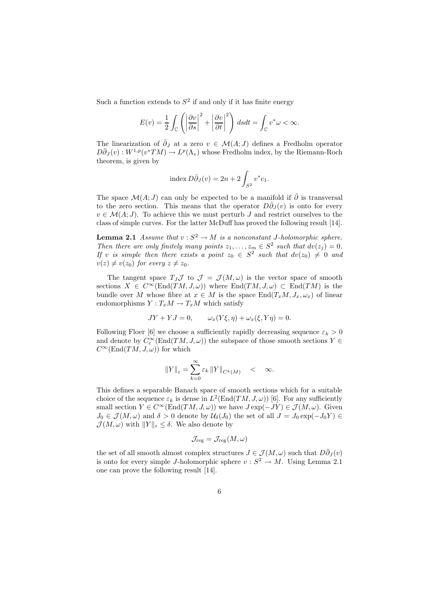Such a function extends to  $S^2$  if and only if it has finite energy

$$
E(v) = \frac{1}{2} \int_{\mathbb{C}} \left( \left| \frac{\partial v}{\partial s} \right|^2 + \left| \frac{\partial v}{\partial t} \right|^2 \right) ds dt = \int_{\mathbb{C}} v^* \omega < \infty.
$$

The linearization of  $\bar{\partial}_J$  at a zero  $v \in \mathcal{M}(A;J)$  defines a Fredholm operator  $D\bar{\partial}_J(v):W^{1,p}(v^*TM)\to L^p(\Lambda_v)$  whose Fredholm index, by the Riemann-Roch theorem, is given by

index 
$$
D\overline{\partial}_J(v) = 2n + 2 \int_{S^2} v^* c_1.
$$

The space  $\mathcal{M}(A;J)$  can only be expected to be a manifold if  $\overline{\partial}$  is transversal to the zero section. This means that the operator  $D\overline{\partial}_J(v)$  is onto for every  $v \in \mathcal{M}(A;J)$ . To achieve this we must perturb J and restrict ourselves to the class of simple curves. For the latter McDuff has proved the following result [14].

**Lemma 2.1** Assume that  $v : S^2 \to M$  is a nonconstant J-holomorphic sphere. Then there are only finitely many points  $z_1, \ldots, z_m \in S^2$  such that  $dv(z_j) = 0$ . If v is simple then there exists a point  $z_0 \in S^2$  such that  $dv(z_0) \neq 0$  and  $v(z) \neq v(z_0)$  for every  $z \neq z_0$ .

The tangent space  $T_J\mathcal{J}$  to  $\mathcal{J} = \mathcal{J}(M,\omega)$  is the vector space of smooth sections  $X \in C^{\infty}(\text{End}(TM, J, \omega))$  where  $\text{End}(TM, J, \omega) \subset \text{End}(TM)$  is the bundle over M whose fibre at  $x \in M$  is the space  $\text{End}(T_xM, J_x, \omega_x)$  of linear endomorphisms  $Y: T_xM \to T_xM$  which satisfy

$$
JY + YJ = 0, \qquad \omega_x(Y\xi, \eta) + \omega_x(\xi, Y\eta) = 0.
$$

Following Floer [6] we choose a sufficiently rapidly decreasing sequence  $\varepsilon_k > 0$ and denote by  $C_{\varepsilon}^{\infty}(\text{End}(TM, J, \omega))$  the subspace of those smooth sections  $Y \in$  $C^{\infty}(\text{End}(TM, J, \omega))$  for which

$$
||Y||_{\varepsilon} = \sum_{k=0}^{\infty} \varepsilon_k ||Y||_{C^k(M)} \quad < \quad \infty.
$$

This defines a separable Banach space of smooth sections which for a suitable choice of the sequence  $\varepsilon_k$  is dense in  $L^2(\text{End}(TM, J, \omega))$  [6]. For any sufficiently small section  $Y \in C^{\infty}(\text{End}(TM, J, \omega))$  we have  $J \exp(-JY) \in \mathcal{J}(M, \omega)$ . Given  $J_0 \in \mathcal{J}(M, \omega)$  and  $\delta > 0$  denote by  $\mathcal{U}_{\delta}(J_0)$  the set of all  $J = J_0 \exp(-J_0 Y) \in$  $\mathcal{J}(M,\omega)$  with  $||Y||_{\varepsilon} \leq \delta$ . We also denote by

$$
\mathcal{J}_{\text{reg}} = \mathcal{J}_{\text{reg}}(M,\omega)
$$

the set of all smooth almost complex structures  $J \in \mathcal{J}(M, \omega)$  such that  $D\overline{\partial}_J(v)$ is onto for every simple J-holomorphic sphere  $v : S^2 \to M$ . Using Lemma 2.1 one can prove the following result [14].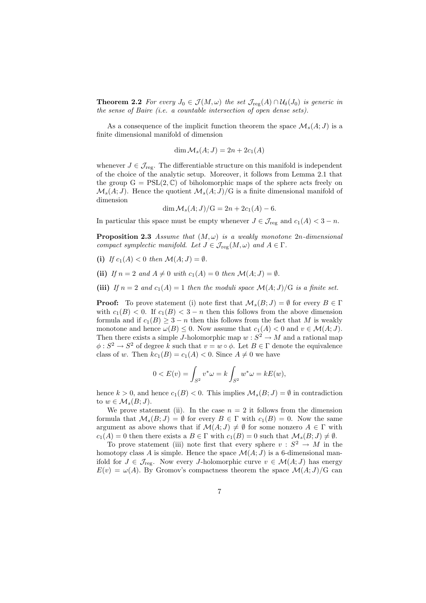**Theorem 2.2** For every  $J_0 \in \mathcal{J}(M,\omega)$  the set  $\mathcal{J}_{reg}(A) \cap \mathcal{U}_{\delta}(J_0)$  is generic in the sense of Baire (i.e. a countable intersection of open dense sets).

As a consequence of the implicit function theorem the space  $\mathcal{M}_s(A; J)$  is a finite dimensional manifold of dimension

$$
\dim \mathcal{M}_s(A;J) = 2n + 2c_1(A)
$$

whenever  $J \in \mathcal{J}_{reg}$ . The differentiable structure on this manifold is independent of the choice of the analytic setup. Moreover, it follows from Lemma 2.1 that the group  $G = PSL(2, \mathbb{C})$  of biholomorphic maps of the sphere acts freely on  $\mathcal{M}_s(A;J)$ . Hence the quotient  $\mathcal{M}_s(A;J)/G$  is a finite dimensional manifold of dimension

$$
\dim \mathcal{M}_s(A;J)/G = 2n + 2c_1(A) - 6.
$$

In particular this space must be empty whenever  $J \in \mathcal{J}_{reg}$  and  $c_1(A) < 3 - n$ .

**Proposition 2.3** Assume that  $(M, \omega)$  is a weakly monotone 2n-dimensional compact symplectic manifold. Let  $J \in \mathcal{J}_{reg}(M,\omega)$  and  $A \in \Gamma$ .

- (i) If  $c_1(A) < 0$  then  $\mathcal{M}(A; J) = \emptyset$ .
- (ii) If  $n = 2$  and  $A \neq 0$  with  $c_1(A) = 0$  then  $\mathcal{M}(A; J) = \emptyset$ .
- (iii) If  $n = 2$  and  $c_1(A) = 1$  then the moduli space  $\mathcal{M}(A; J)/G$  is a finite set.

**Proof:** To prove statement (i) note first that  $\mathcal{M}_s(B; J) = \emptyset$  for every  $B \in \Gamma$ with  $c_1(B) < 0$ . If  $c_1(B) < 3-n$  then this follows from the above dimension formula and if  $c_1(B) \geq 3 - n$  then this follows from the fact that M is weakly monotone and hence  $\omega(B) \leq 0$ . Now assume that  $c_1(A) < 0$  and  $v \in \mathcal{M}(A; J)$ . Then there exists a simple J-holomorphic map  $w : S^2 \to M$  and a rational map  $\phi: S^2 \to S^2$  of degree k such that  $v = w \circ \phi$ . Let  $B \in \Gamma$  denote the equivalence class of w. Then  $kc_1(B) = c_1(A) < 0$ . Since  $A \neq 0$  we have

$$
0 < E(v) = \int_{S^2} v^* \omega = k \int_{S^2} w^* \omega = kE(w),
$$

hence  $k > 0$ , and hence  $c_1(B) < 0$ . This implies  $\mathcal{M}_s(B; J) = \emptyset$  in contradiction to  $w \in \mathcal{M}_s(B;J)$ .

We prove statement (ii). In the case  $n = 2$  it follows from the dimension formula that  $\mathcal{M}_s(B; J) = \emptyset$  for every  $B \in \Gamma$  with  $c_1(B) = 0$ . Now the same argument as above shows that if  $\mathcal{M}(A; J) \neq \emptyset$  for some nonzero  $A \in \Gamma$  with  $c_1(A) = 0$  then there exists a  $B \in \Gamma$  with  $c_1(B) = 0$  such that  $\mathcal{M}_s(B; J) \neq \emptyset$ .

To prove statement (iii) note first that every sphere  $v : S^2 \to M$  in the homotopy class A is simple. Hence the space  $\mathcal{M}(A; J)$  is a 6-dimensional manifold for  $J \in \mathcal{J}_{reg}$ . Now every J-holomorphic curve  $v \in \mathcal{M}(A;J)$  has energy  $E(v) = \omega(A)$ . By Gromov's compactness theorem the space  $\mathcal{M}(A;J)/G$  can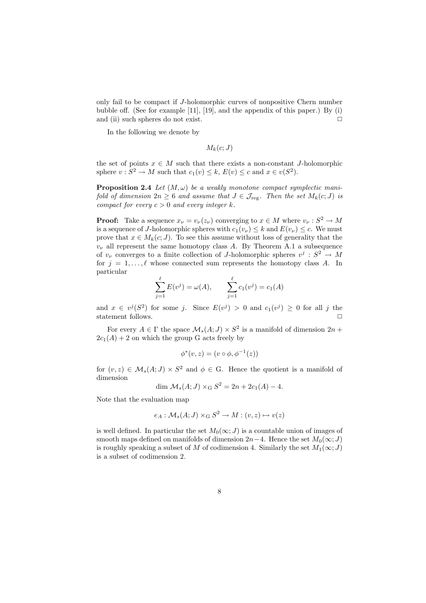only fail to be compact if J-holomorphic curves of nonpositive Chern number bubble off. (See for example [11], [19], and the appendix of this paper.) By (i) and (ii) such spheres do not exist.  $\Box$ 

In the following we denote by

$$
M_k(c;J)
$$

the set of points  $x \in M$  such that there exists a non-constant J-holomorphic sphere  $v : S^2 \to M$  such that  $c_1(v) \leq k$ ,  $E(v) \leq c$  and  $x \in v(S^2)$ .

**Proposition 2.4** Let  $(M, \omega)$  be a weakly monotone compact symplectic manifold of dimension  $2n \geq 6$  and assume that  $J \in \mathcal{J}_{reg}$ . Then the set  $M_k(c; J)$  is compact for every  $c > 0$  and every integer k.

**Proof:** Take a sequence  $x_{\nu} = v_{\nu}(z_{\nu})$  converging to  $x \in M$  where  $v_{\nu} : S^2 \to M$ is a sequence of J-holomorphic spheres with  $c_1(v_\nu) \leq k$  and  $E(v_\nu) \leq c$ . We must prove that  $x \in M_k(c; J)$ . To see this assume without loss of generality that the  $v_{\nu}$  all represent the same homotopy class A. By Theorem A.1 a subsequence of  $v_{\nu}$  converges to a finite collection of J-holomorphic spheres  $v^{j}: S^{2} \rightarrow M$ for  $j = 1, \ldots, \ell$  whose connected sum represents the homotopy class A. In particular

$$
\sum_{j=1}^{\ell} E(v^{j}) = \omega(A), \qquad \sum_{j=1}^{\ell} c_{1}(v^{j}) = c_{1}(A)
$$

and  $x \in v^j(S^2)$  for some j. Since  $E(v^j) > 0$  and  $c_1(v^j) \ge 0$  for all j the statement follows.  $\hfill \square$ 

For every  $A \in \Gamma$  the space  $\mathcal{M}_s(A; J) \times S^2$  is a manifold of dimension  $2n +$  $2c_1(A) + 2$  on which the group G acts freely by

$$
\phi^*(v, z) = (v \circ \phi, \phi^{-1}(z))
$$

for  $(v, z) \in \mathcal{M}_s(A; J) \times S^2$  and  $\phi \in G$ . Hence the quotient is a manifold of dimension

$$
\dim \mathcal{M}_s(A; J) \times_{\mathcal{G}} S^2 = 2n + 2c_1(A) - 4.
$$

Note that the evaluation map

$$
e_A: \mathcal{M}_s(A;J) \times_G S^2 \to M : (v,z) \mapsto v(z)
$$

is well defined. In particular the set  $M_0(\infty; J)$  is a countable union of images of smooth maps defined on manifolds of dimension  $2n-4$ . Hence the set  $M_0(\infty; J)$ is roughly speaking a subset of M of codimension 4. Similarly the set  $M_1(\infty; J)$ is a subset of codimension 2.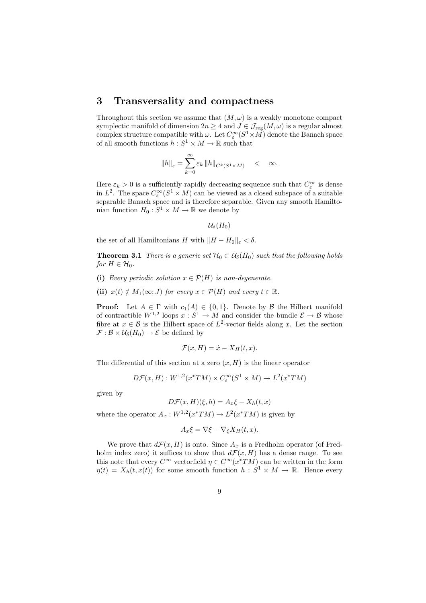## 3 Transversality and compactness

Throughout this section we assume that  $(M, \omega)$  is a weakly monotone compact symplectic manifold of dimension  $2n \geq 4$  and  $J \in \mathcal{J}_{reg}(M,\omega)$  is a regular almost complex structure compatible with  $\omega$ . Let  $C^{\infty}_{\varepsilon}(S^1 \times M)$  denote the Banach space of all smooth functions  $h: S^1 \times M \to \mathbb{R}$  such that

$$
\|h\|_{\varepsilon} = \sum_{k=0}^{\infty} \varepsilon_k \, \|h\|_{C^k(S^1 \times M)} \quad < \quad \infty.
$$

Here  $\varepsilon_k > 0$  is a sufficiently rapidly decreasing sequence such that  $C_{\varepsilon}^{\infty}$  is dense in  $L^2$ . The space  $C^{\infty}_{\varepsilon}(S^1 \times M)$  can be viewed as a closed subspace of a suitable separable Banach space and is therefore separable. Given any smooth Hamiltonian function  $H_0: S^1 \times M \to \mathbb{R}$  we denote by

$$
\mathcal{U}_{\delta}(H_0)
$$

the set of all Hamiltonians H with  $||H - H_0||_{\varepsilon} < \delta$ .

**Theorem 3.1** There is a generic set  $\mathcal{H}_0 \subset \mathcal{U}_{\delta}(H_0)$  such that the following holds for  $H \in \mathcal{H}_0$ .

- (i) Every periodic solution  $x \in \mathcal{P}(H)$  is non-degenerate.
- (ii)  $x(t) \notin M_1(\infty; J)$  for every  $x \in \mathcal{P}(H)$  and every  $t \in \mathbb{R}$ .

**Proof:** Let  $A \in \Gamma$  with  $c_1(A) \in \{0,1\}$ . Denote by  $\beta$  the Hilbert manifold of contractible  $W^{1,2}$  loops  $x : S^1 \to M$  and consider the bundle  $\mathcal{E} \to \mathcal{B}$  whose fibre at  $x \in \mathcal{B}$  is the Hilbert space of  $L^2$ -vector fields along x. Let the section  $\mathcal{F}: \mathcal{B} \times \mathcal{U}_{\delta}(H_0) \to \mathcal{E}$  be defined by

$$
\mathcal{F}(x,H) = \dot{x} - X_H(t,x).
$$

The differential of this section at a zero  $(x, H)$  is the linear operator

$$
D\mathcal{F}(x,H): W^{1,2}(x^*TM) \times C_{\varepsilon}^{\infty}(S^1 \times M) \to L^2(x^*TM)
$$

given by

$$
D\mathcal{F}(x,H)(\xi,h) = A_x \xi - X_h(t,x)
$$

where the operator  $A_x: W^{1,2}(x^*TM) \to L^2(x^*TM)$  is given by

$$
A_x \xi = \nabla \xi - \nabla_{\xi} X_H(t, x).
$$

We prove that  $d\mathcal{F}(x, H)$  is onto. Since  $A_x$  is a Fredholm operator (of Fredholm index zero) it suffices to show that  $d\mathcal{F}(x, H)$  has a dense range. To see this note that every  $C^{\infty}$  vectorfield  $\eta \in C^{\infty}(x^*TM)$  can be written in the form  $\eta(t) = X_h(t, x(t))$  for some smooth function  $h: S^1 \times M \to \mathbb{R}$ . Hence every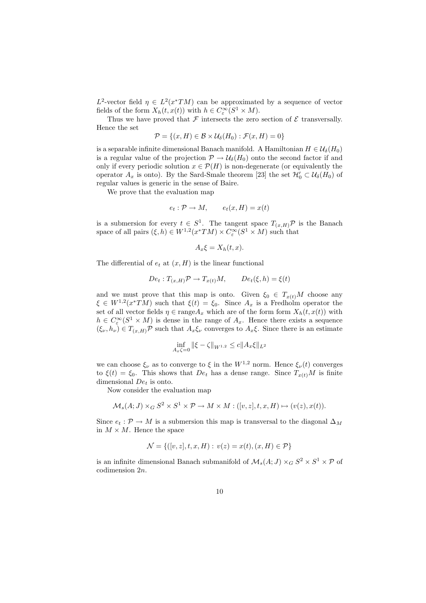$L^2$ -vector field  $\eta \in L^2(x^*TM)$  can be approximated by a sequence of vector fields of the form  $X_h(t, x(t))$  with  $h \in C_c^{\infty}(S^1 \times M)$ .

Thus we have proved that  $\mathcal F$  intersects the zero section of  $\mathcal E$  transversally. Hence the set

$$
\mathcal{P} = \{(x, H) \in \mathcal{B} \times \mathcal{U}_{\delta}(H_0) : \mathcal{F}(x, H) = 0\}
$$

is a separable infinite dimensional Banach manifold. A Hamiltonian  $H \in \mathcal{U}_{\delta}(H_0)$ is a regular value of the projection  $\mathcal{P} \to \mathcal{U}_{\delta}(H_0)$  onto the second factor if and only if every periodic solution  $x \in \mathcal{P}(H)$  is non-degenerate (or equivalently the operator  $A_x$  is onto). By the Sard-Smale theorem [23] the set  $\mathcal{H}'_0 \subset \mathcal{U}_\delta(H_0)$  of regular values is generic in the sense of Baire.

We prove that the evaluation map

$$
e_t: \mathcal{P} \to M, \qquad e_t(x, H) = x(t)
$$

is a submersion for every  $t \in S^1$ . The tangent space  $T_{(x,H)}\mathcal{P}$  is the Banach space of all pairs  $(\xi, h) \in W^{1,2}(x^*TM) \times C_{\varepsilon}^{\infty}(S^1 \times M)$  such that

$$
A_x \xi = X_h(t, x).
$$

The differential of  $e_t$  at  $(x, H)$  is the linear functional

$$
De_t: T_{(x,H)}\mathcal{P} \to T_{x(t)}M, \qquad De_t(\xi, h) = \xi(t)
$$

and we must prove that this map is onto. Given  $\xi_0 \in T_{x(t)}M$  choose any  $\xi \in W^{1,2}(x^*TM)$  such that  $\xi(t) = \xi_0$ . Since  $A_x$  is a Fredholm operator the set of all vector fields  $\eta \in \text{range} A_x$  which are of the form form  $X_h(t, x(t))$  with  $h \in C_{\varepsilon}^{\infty}(S^1 \times M)$  is dense in the range of  $A_x$ . Hence there exists a sequence  $(\xi_{\nu}, h_{\nu}) \in T_{(x,H)}\mathcal{P}$  such that  $A_x \xi_{\nu}$  converges to  $A_x \xi$ . Since there is an estimate

$$
\inf_{A_x \zeta = 0} \|\xi - \zeta\|_{W^{1,2}} \le c \|A_x \xi\|_{L^2}
$$

we can choose  $\xi_{\nu}$  as to converge to  $\xi$  in the  $W^{1,2}$  norm. Hence  $\xi_{\nu}(t)$  converges to  $\xi(t) = \xi_0$ . This shows that  $De_t$  has a dense range. Since  $T_{x(t)}M$  is finite dimensional  $De<sub>t</sub>$  is onto.

Now consider the evaluation map

$$
\mathcal{M}_s(A;J) \times_G S^2 \times S^1 \times \mathcal{P} \to M \times M : ([v,z],t,x,H) \mapsto (v(z),x(t)).
$$

Since  $e_t : \mathcal{P} \to M$  is a submersion this map is transversal to the diagonal  $\Delta_M$ in  $M \times M$ . Hence the space

$$
\mathcal{N} = \{ ([v, z], t, x, H) : v(z) = x(t), (x, H) \in \mathcal{P} \}
$$

is an infinite dimensional Banach submanifold of  $\mathcal{M}_s(A; J) \times_G S^2 \times S^1 \times \mathcal{P}$  of codimension 2n.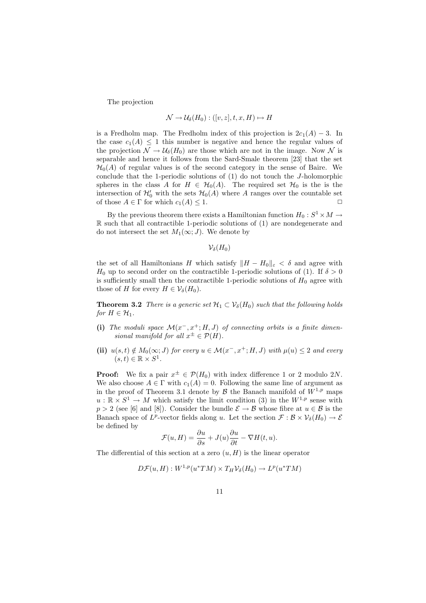The projection

$$
\mathcal{N} \to \mathcal{U}_{\delta}(H_0) : ([v, z], t, x, H) \mapsto H
$$

is a Fredholm map. The Fredholm index of this projection is  $2c_1(A) - 3$ . In the case  $c_1(A) \leq 1$  this number is negative and hence the regular values of the projection  $\mathcal{N} \to \mathcal{U}_{\delta}(H_0)$  are those which are not in the image. Now  $\mathcal{N}$  is separable and hence it follows from the Sard-Smale theorem [23] that the set  $\mathcal{H}_0(A)$  of regular values is of the second category in the sense of Baire. We conclude that the 1-periodic solutions of (1) do not touch the J-holomorphic spheres in the class A for  $H \in \mathcal{H}_0(A)$ . The required set  $\mathcal{H}_0$  is the is the intersection of  $\mathcal{H}'_0$  with the sets  $\mathcal{H}_0(A)$  where A ranges over the countable set of those  $A \in \Gamma$  for which  $c_1(A) \leq 1$ .

By the previous theorem there exists a Hamiltonian function  $H_0: S^1 \times M \to$ R such that all contractible 1-periodic solutions of (1) are nondegenerate and do not intersect the set  $M_1(\infty; J)$ . We denote by

 $\mathcal{V}_{\delta}(H_0)$ 

the set of all Hamiltonians H which satisfy  $||H - H_0||_{\varepsilon} < \delta$  and agree with  $H_0$  up to second order on the contractible 1-periodic solutions of (1). If  $\delta > 0$ is sufficiently small then the contractible 1-periodic solutions of  $H_0$  agree with those of H for every  $H \in \mathcal{V}_{\delta}(H_0)$ .

**Theorem 3.2** There is a generic set  $\mathcal{H}_1 \subset \mathcal{V}_\delta(H_0)$  such that the following holds for  $H \in \mathcal{H}_1$ .

- (i) The moduli space  $\mathcal{M}(x^-, x^+; H, J)$  of connecting orbits is a finite dimensional manifold for all  $x^{\pm} \in \mathcal{P}(H)$ .
- (ii)  $u(s,t) \notin M_0(\infty; J)$  for every  $u \in \mathcal{M}(x^-, x^+; H, J)$  with  $\mu(u) \leq 2$  and every  $(s,t)\in\mathbb{R}\times S^1$ .

**Proof:** We fix a pair  $x^{\pm} \in \mathcal{P}(H_0)$  with index difference 1 or 2 modulo 2N. We also choose  $A \in \Gamma$  with  $c_1(A) = 0$ . Following the same line of argument as in the proof of Theorem 3.1 denote by  $\beta$  the Banach manifold of  $W^{1,p}$  maps  $u : \mathbb{R} \times S^1 \to M$  which satisfy the limit condition (3) in the  $W^{1,p}$  sense with  $p > 2$  (see [6] and [8]). Consider the bundle  $\mathcal{E} \to \mathcal{B}$  whose fibre at  $u \in \mathcal{B}$  is the Banach space of  $L^p$ -vector fields along u. Let the section  $\mathcal{F}: \mathcal{B} \times \mathcal{V}_\delta(H_0) \to \mathcal{E}$ be defined by

$$
\mathcal{F}(u, H) = \frac{\partial u}{\partial s} + J(u)\frac{\partial u}{\partial t} - \nabla H(t, u).
$$

The differential of this section at a zero  $(u, H)$  is the linear operator

$$
D\mathcal{F}(u,H):W^{1,p}(u^*TM)\times T_H\mathcal{V}_\delta(H_0)\to L^p(u^*TM)
$$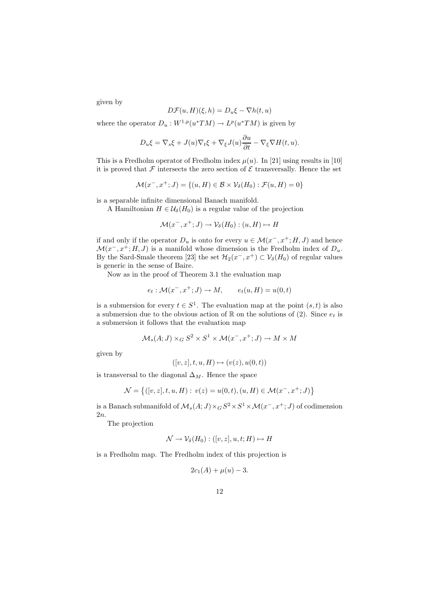given by

$$
D\mathcal{F}(u,H)(\xi,h) = D_u \xi - \nabla h(t,u)
$$

where the operator  $D_u: W^{1,p}(u^*TM) \to L^p(u^*TM)$  is given by

$$
D_u \xi = \nabla_s \xi + J(u) \nabla_t \xi + \nabla_\xi J(u) \frac{\partial u}{\partial t} - \nabla_\xi \nabla H(t, u).
$$

This is a Fredholm operator of Fredholm index  $\mu(u)$ . In [21] using results in [10] it is proved that  $\mathcal F$  intersects the zero section of  $\mathcal E$  transversally. Hence the set

$$
\mathcal{M}(x^-, x^+; J) = \{(u, H) \in \mathcal{B} \times \mathcal{V}_\delta(H_0) : \mathcal{F}(u, H) = 0\}
$$

is a separable infinite dimensional Banach manifold.

A Hamiltonian  $H \in \mathcal{U}_{\delta}(H_0)$  is a regular value of the projection

$$
\mathcal{M}(x^-, x^+; J) \to \mathcal{V}_\delta(H_0) : (u, H) \mapsto H
$$

if and only if the operator  $D_u$  is onto for every  $u \in \mathcal{M}(x^-, x^+; H, J)$  and hence  $\mathcal{M}(x^-, x^+; H, J)$  is a manifold whose dimension is the Fredholm index of  $D_u$ . By the Sard-Smale theorem [23] the set  $\mathcal{H}_2(x^-, x^+) \subset \mathcal{V}_\delta(H_0)$  of regular values is generic in the sense of Baire.

Now as in the proof of Theorem 3.1 the evaluation map

$$
e_t: \mathcal{M}(x^-, x^+; J) \to M, \qquad e_t(u, H) = u(0, t)
$$

is a submersion for every  $t \in S^1$ . The evaluation map at the point  $(s, t)$  is also a submersion due to the obvious action of  $\mathbb R$  on the solutions of (2). Since  $e_t$  is a submersion it follows that the evaluation map

$$
\mathcal{M}_s(A;J) \times_G S^2 \times S^1 \times \mathcal{M}(x^-, x^+; J) \to M \times M
$$

given by

$$
([v, z], t, u, H) \mapsto (v(z), u(0, t))
$$

is transversal to the diagonal  $\Delta_M$ . Hence the space

$$
\mathcal{N} = \{ ([v, z], t, u, H) : v(z) = u(0, t), (u, H) \in \mathcal{M}(x^-, x^+; J) \}
$$

is a Banach submanifold of  $\mathcal{M}_s(A; J) \times_G S^2 \times S^1 \times \mathcal{M}(x^-, x^+; J)$  of codimension 2n.

The projection

$$
\mathcal{N} \to \mathcal{V}_{\delta}(H_0) : ([v, z], u, t; H) \mapsto H
$$

is a Fredholm map. The Fredholm index of this projection is

$$
2c_1(A) + \mu(u) - 3.
$$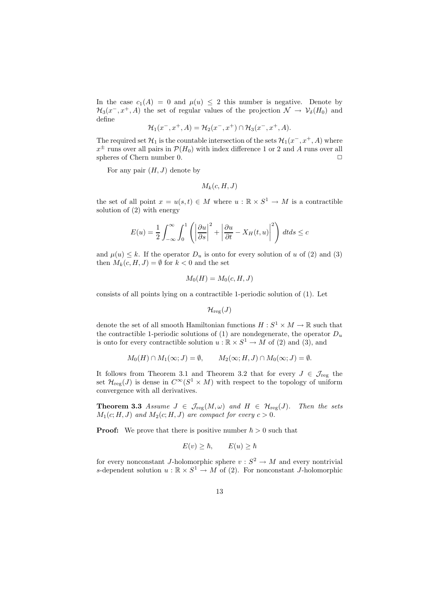In the case  $c_1(A) = 0$  and  $\mu(u) \leq 2$  this number is negative. Denote by  $\mathcal{H}_3(x^-, x^+, A)$  the set of regular values of the projection  $\mathcal{N} \to \mathcal{V}_\delta(H_0)$  and define

$$
\mathcal{H}_1(x^-, x^+, A) = \mathcal{H}_2(x^-, x^+) \cap \mathcal{H}_3(x^-, x^+, A).
$$

The required set  $\mathcal{H}_1$  is the countable intersection of the sets  $\mathcal{H}_1(x^-, x^+, A)$  where  $x^{\pm}$  runs over all pairs in  $\mathcal{P}(H_0)$  with index difference 1 or 2 and A runs over all spheres of Chern number 0.  $\Box$ 

For any pair  $(H, J)$  denote by

$$
M_k(c,H,J)
$$

the set of all point  $x = u(s, t) \in M$  where  $u : \mathbb{R} \times S^1 \to M$  is a contractible solution of (2) with energy

$$
E(u) = \frac{1}{2} \int_{-\infty}^{\infty} \int_{0}^{1} \left( \left| \frac{\partial u}{\partial s} \right|^{2} + \left| \frac{\partial u}{\partial t} - X_{H}(t, u) \right|^{2} \right) dt ds \leq c
$$

and  $\mu(u) \leq k$ . If the operator  $D_u$  is onto for every solution of u of (2) and (3) then  $M_k(c, H, J) = \emptyset$  for  $k < 0$  and the set

$$
M_0(H) = M_0(c, H, J)
$$

consists of all points lying on a contractible 1-periodic solution of (1). Let

$$
\mathcal{H}_{\textnormal{reg}}(J)
$$

denote the set of all smooth Hamiltonian functions  $H: S^1 \times M \to \mathbb{R}$  such that the contractible 1-periodic solutions of (1) are nondegenerate, the operator  $D_u$ is onto for every contractible solution  $u : \mathbb{R} \times S^1 \to M$  of (2) and (3), and

$$
M_0(H) \cap M_1(\infty; J) = \emptyset, \qquad M_2(\infty; H, J) \cap M_0(\infty; J) = \emptyset.
$$

It follows from Theorem 3.1 and Theorem 3.2 that for every  $J \in \mathcal{J}_{reg}$  the set  $\mathcal{H}_{reg}(J)$  is dense in  $C^{\infty}(S^1 \times M)$  with respect to the topology of uniform convergence with all derivatives.

**Theorem 3.3** Assume  $J \in \mathcal{J}_{reg}(M,\omega)$  and  $H \in \mathcal{H}_{reg}(J)$ . Then the sets  $M_1(c; H, J)$  and  $M_2(c; H, J)$  are compact for every  $c > 0$ .

**Proof:** We prove that there is positive number  $\hbar > 0$  such that

$$
E(v) \ge \hbar, \qquad E(u) \ge \hbar
$$

for every nonconstant *J*-holomorphic sphere  $v : S^2 \to M$  and every nontrivial s-dependent solution  $u : \mathbb{R} \times S^1 \to M$  of (2). For nonconstant *J*-holomorphic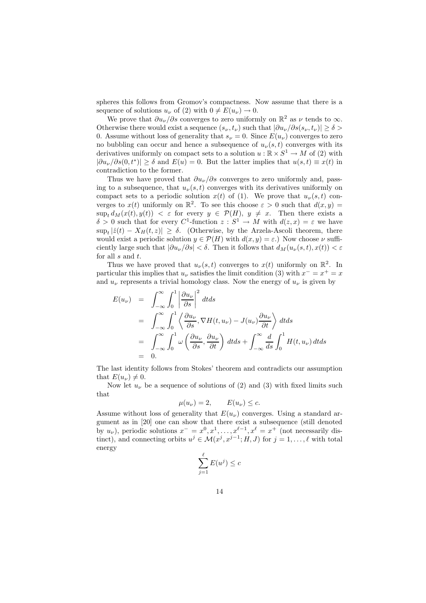spheres this follows from Gromov's compactness. Now assume that there is a sequence of solutions  $u_{\nu}$  of (2) with  $0 \neq E(u_{\nu}) \rightarrow 0$ .

We prove that  $\partial u_{\nu}/\partial s$  converges to zero uniformly on  $\mathbb{R}^2$  as  $\nu$  tends to  $\infty$ . Otherwise there would exist a sequence  $(s_{\nu}, t_{\nu})$  such that  $|\partial u_{\nu}/\partial s(s_{\nu}, t_{\nu})| \ge \delta$ 0. Assume without loss of generality that  $s_{\nu} = 0$ . Since  $E(u_{\nu})$  converges to zero no bubbling can occur and hence a subsequence of  $u_{\nu}(s,t)$  converges with its derivatives uniformly on compact sets to a solution  $u : \mathbb{R} \times S^1 \to M$  of (2) with  $|\partial u_{\nu}/\partial s(0,t^*)| \ge \delta$  and  $E(u) = 0$ . But the latter implies that  $u(s,t) \equiv x(t)$  in contradiction to the former.

Thus we have proved that  $\partial u_{\nu}/\partial s$  converges to zero uniformly and, passing to a subsequence, that  $u_{\nu}(s,t)$  converges with its derivatives uniformly on compact sets to a periodic solution  $x(t)$  of (1). We prove that  $u_{\nu}(s,t)$  converges to  $x(t)$  uniformly on  $\mathbb{R}^2$ . To see this choose  $\varepsilon > 0$  such that  $d(x, y) =$  $\sup_t d_M(x(t), y(t)) < \varepsilon$  for every  $y \in \mathcal{P}(H)$ ,  $y \neq x$ . Then there exists a  $\delta > 0$  such that for every  $C^1$ -function  $z : S^1 \to M$  with  $d(z, x) = \varepsilon$  we have  $\sup_t |z(t) - X_H(t, z)| \ge \delta$ . (Otherwise, by the Arzela-Ascoli theorem, there would exist a periodic solution  $y \in \mathcal{P}(H)$  with  $d(x, y) = \varepsilon$ .) Now choose  $\nu$  sufficiently large such that  $|\partial u_{\nu}/\partial s| < \delta$ . Then it follows that  $d_M(u_{\nu}(s,t), x(t)) < \varepsilon$ for all  $s$  and  $t$ .

Thus we have proved that  $u_{\nu}(s,t)$  converges to  $x(t)$  uniformly on  $\mathbb{R}^2$ . In particular this implies that  $u_{\nu}$  satisfies the limit condition (3) with  $x^{-} = x^{+} = x$ and  $u_{\nu}$  represents a trivial homology class. Now the energy of  $u_{\nu}$  is given by

$$
E(u_{\nu}) = \int_{-\infty}^{\infty} \int_{0}^{1} \left| \frac{\partial u_{\nu}}{\partial s} \right|^{2} dt ds
$$
  
\n
$$
= \int_{-\infty}^{\infty} \int_{0}^{1} \left\langle \frac{\partial u_{\nu}}{\partial s}, \nabla H(t, u_{\nu}) - J(u_{\nu}) \frac{\partial u_{\nu}}{\partial t} \right\rangle dt ds
$$
  
\n
$$
= \int_{-\infty}^{\infty} \int_{0}^{1} \omega \left( \frac{\partial u_{\nu}}{\partial s}, \frac{\partial u_{\nu}}{\partial t} \right) dt ds + \int_{-\infty}^{\infty} \frac{d}{ds} \int_{0}^{1} H(t, u_{\nu}) dt ds
$$
  
\n
$$
= 0.
$$

The last identity follows from Stokes' theorem and contradicts our assumption that  $E(u_{\nu}) \neq 0$ .

Now let  $u_{\nu}$  be a sequence of solutions of (2) and (3) with fixed limits such that

$$
\mu(u_{\nu}) = 2, \qquad E(u_{\nu}) \leq c.
$$

Assume without loss of generality that  $E(u_\nu)$  converges. Using a standard argument as in [20] one can show that there exist a subsequence (still denoted by  $u_{\nu}$ ), periodic solutions  $x^{-} = x^{0}, x^{1}, \ldots, x^{\ell-1}, x^{\ell} = x^{+}$  (not necessarily distinct), and connecting orbits  $u^j \in \mathcal{M}(x^j, x^{j-1}; H, J)$  for  $j = 1, ..., \ell$  with total energy

$$
\sum_{j=1}^{\ell} E(u^j) \le c
$$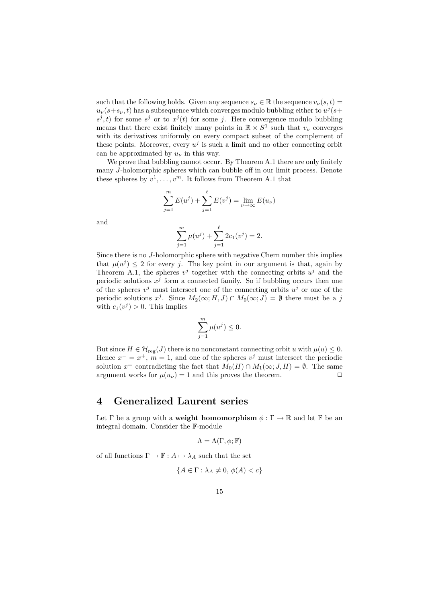such that the following holds. Given any sequence  $s_{\nu} \in \mathbb{R}$  the sequence  $v_{\nu}(s,t)$  $u_{\nu}(s+s_{\nu},t)$  has a subsequence which converges modulo bubbling either to  $u^{j}(s+$  $s^j, t$  for some  $s^j$  or to  $x^j(t)$  for some j. Here convergence modulo bubbling means that there exist finitely many points in  $\mathbb{R} \times S^1$  such that  $v_\nu$  converges with its derivatives uniformly on every compact subset of the complement of these points. Moreover, every  $u^j$  is such a limit and no other connecting orbit can be approximated by  $u_{\nu}$  in this way.

We prove that bubbling cannot occur. By Theorem A.1 there are only finitely many J-holomorphic spheres which can bubble off in our limit process. Denote these spheres by  $v^1, \ldots, v^m$ . It follows from Theorem A.1 that

$$
\sum_{j=1}^{m} E(u^{j}) + \sum_{j=1}^{\ell} E(v^{j}) = \lim_{\nu \to \infty} E(u_{\nu})
$$

and

$$
\sum_{j=1}^{m} \mu(u^{j}) + \sum_{j=1}^{\ell} 2c_{1}(v^{j}) = 2.
$$

Since there is no J-holomorphic sphere with negative Chern number this implies that  $\mu(u^j) \leq 2$  for every j. The key point in our argument is that, again by Theorem A.1, the spheres  $v^j$  together with the connecting orbits  $u^j$  and the periodic solutions  $x^j$  form a connected family. So if bubbling occurs then one of the spheres  $v^j$  must intersect one of the connecting orbits  $u^j$  or one of the periodic solutions  $x^j$ . Since  $M_2(\infty; H, J) \cap M_0(\infty; J) = \emptyset$  there must be a j with  $c_1(v^j) > 0$ . This implies

$$
\sum_{j=1}^{m} \mu(u^j) \le 0.
$$

But since  $H \in \mathcal{H}_{reg}(J)$  there is no nonconstant connecting orbit u with  $\mu(u) \leq 0$ . Hence  $x^{-} = x^{+}$ ,  $m = 1$ , and one of the spheres  $v^{j}$  must intersect the periodic solution  $x^{\pm}$  contradicting the fact that  $M_0(H) \cap M_1(\infty; J, H) = \emptyset$ . The same argument works for  $\mu(u_{\nu}) = 1$  and this proves the theorem.

# 4 Generalized Laurent series

Let  $\Gamma$  be a group with a **weight homomorphism**  $\phi : \Gamma \to \mathbb{R}$  and let  $\mathbb{F}$  be an integral domain. Consider the F-module

$$
\Lambda = \Lambda(\Gamma, \phi; \mathbb{F})
$$

of all functions  $\Gamma \to \mathbb{F} : A \mapsto \lambda_A$  such that the set

$$
\{A \in \Gamma : \lambda_A \neq 0, \, \phi(A) < c\}
$$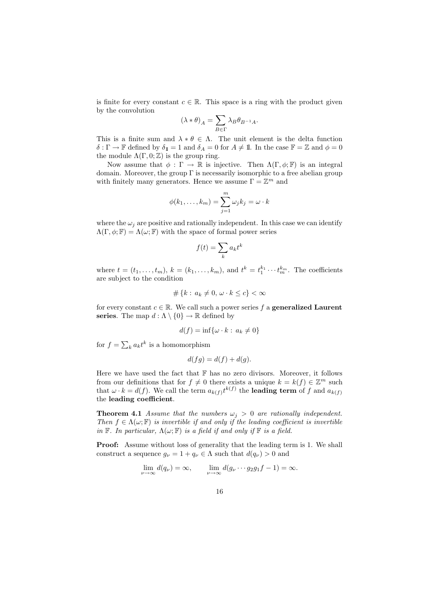is finite for every constant  $c \in \mathbb{R}$ . This space is a ring with the product given by the convolution

$$
(\lambda*\theta)_A=\sum_{B\in\Gamma}\lambda_B\theta_{B^{-1}A}.
$$

This is a finite sum and  $\lambda * \theta \in \Lambda$ . The unit element is the delta function  $\delta : \Gamma \to \mathbb{F}$  defined by  $\delta_1 = 1$  and  $\delta_A = 0$  for  $A \neq \mathbb{I}$ . In the case  $\mathbb{F} = \mathbb{Z}$  and  $\phi = 0$ the module  $\Lambda(\Gamma, 0; \mathbb{Z})$  is the group ring.

Now assume that  $\phi : \Gamma \to \mathbb{R}$  is injective. Then  $\Lambda(\Gamma, \phi; \mathbb{F})$  is an integral domain. Moreover, the group  $\Gamma$  is necessarily isomorphic to a free abelian group with finitely many generators. Hence we assume  $\Gamma = \mathbb{Z}^m$  and

$$
\phi(k_1,\ldots,k_m)=\sum_{j=1}^m \omega_j k_j=\omega\cdot k
$$

where the  $\omega_i$  are positive and rationally independent. In this case we can identify  $\Lambda(\Gamma, \phi; \mathbb{F}) = \Lambda(\omega; \mathbb{F})$  with the space of formal power series

$$
f(t) = \sum_{k} a_{k} t^{k}
$$

where  $t = (t_1, \ldots, t_m)$ ,  $k = (k_1, \ldots, k_m)$ , and  $t^k = t_1^{k_1} \cdots t_m^{k_m}$ . The coefficients are subject to the condition

$$
\#\left\{k:\,a_k\neq 0,\,\omega\cdot k\leq c\right\}<\infty
$$

for every constant  $c \in \mathbb{R}$ . We call such a power series f a **generalized Laurent** series. The map  $d : \Lambda \setminus \{0\} \to \mathbb{R}$  defined by

$$
d(f) = \inf\{\omega \cdot k : a_k \neq 0\}
$$

for  $f = \sum_k a_k t^k$  is a homomorphism

$$
d(fg) = d(f) + d(g).
$$

Here we have used the fact that  $\mathbb F$  has no zero divisors. Moreover, it follows from our definitions that for  $f \neq 0$  there exists a unique  $k = k(f) \in \mathbb{Z}^m$  such that  $\omega \cdot k = d(f)$ . We call the term  $a_{k(f)}t^{k(f)}$  the **leading term** of f and  $a_{k(f)}$ the leading coefficient.

**Theorem 4.1** Assume that the numbers  $\omega_i > 0$  are rationally independent. Then  $f \in \Lambda(\omega;\mathbb{F})$  is invertible if and only if the leading coefficient is invertible in F. In particular,  $\Lambda(\omega; \mathbb{F})$  is a field if and only if  $\mathbb{F}$  is a field.

Proof: Assume without loss of generality that the leading term is 1. We shall construct a sequence  $g_{\nu} = 1 + q_{\nu} \in \Lambda$  such that  $d(q_{\nu}) > 0$  and

$$
\lim_{\nu \to \infty} d(q_{\nu}) = \infty, \qquad \lim_{\nu \to \infty} d(g_{\nu} \cdots g_2 g_1 f - 1) = \infty.
$$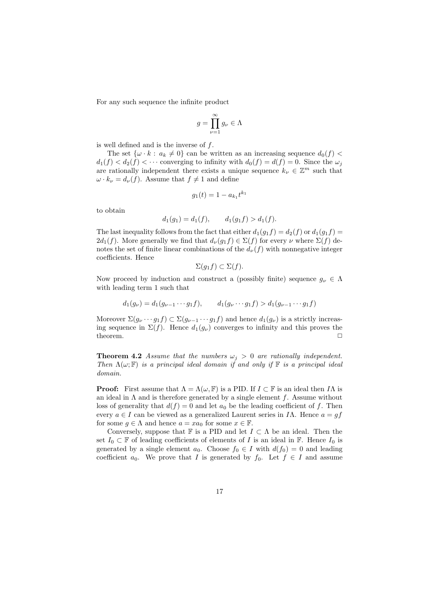For any such sequence the infinite product

$$
g = \prod_{\nu=1}^{\infty} g_{\nu} \in \Lambda
$$

is well defined and is the inverse of  $f$ .

The set  $\{\omega \cdot k : a_k \neq 0\}$  can be written as an increasing sequence  $d_0(f)$  <  $d_1(f) < d_2(f) < \cdots$  converging to infinity with  $d_0(f) = d(f) = 0$ . Since the  $\omega_i$ are rationally independent there exists a unique sequence  $k_{\nu} \in \mathbb{Z}^{m}$  such that  $\omega \cdot k_{\nu} = d_{\nu}(f)$ . Assume that  $f \neq 1$  and define

$$
g_1(t) = 1 - a_{k_1} t^{k_1}
$$

to obtain

$$
d_1(g_1) = d_1(f), \qquad d_1(g_1 f) > d_1(f).
$$

The last inequality follows from the fact that either  $d_1(q_1f) = d_2(f)$  or  $d_1(q_1f) =$  $2d_1(f)$ . More generally we find that  $d_{\nu}(g_1f) \in \Sigma(f)$  for every  $\nu$  where  $\Sigma(f)$  denotes the set of finite linear combinations of the  $d_{\nu}(f)$  with nonnegative integer coefficients. Hence

$$
\Sigma(g_1f)\subset\Sigma(f).
$$

Now proceed by induction and construct a (possibly finite) sequence  $g_{\nu} \in \Lambda$ with leading term 1 such that

$$
d_1(g_{\nu}) = d_1(g_{\nu-1}\cdots g_1f), \qquad d_1(g_{\nu}\cdots g_1f) > d_1(g_{\nu-1}\cdots g_1f)
$$

Moreover  $\Sigma(g_{\nu} \cdots g_1 f) \subset \Sigma(g_{\nu-1} \cdots g_1 f)$  and hence  $d_1(g_{\nu})$  is a strictly increasing sequence in  $\Sigma(f)$ . Hence  $d_1(g_\nu)$  converges to infinity and this proves the theorem. □

**Theorem 4.2** Assume that the numbers  $\omega_j > 0$  are rationally independent. Then  $\Lambda(\omega;\mathbb{F})$  is a principal ideal domain if and only if  $\mathbb{F}$  is a principal ideal domain.

**Proof:** First assume that  $\Lambda = \Lambda(\omega, \mathbb{F})$  is a PID. If  $I \subset \mathbb{F}$  is an ideal then  $I\Lambda$  is an ideal in  $\Lambda$  and is therefore generated by a single element f. Assume without loss of generality that  $d(f) = 0$  and let  $a_0$  be the leading coefficient of f. Then every  $a \in I$  can be viewed as a generalized Laurent series in IA. Hence  $a = gf$ for some  $g \in \Lambda$  and hence  $a = xa_0$  for some  $x \in \mathbb{F}$ .

Conversely, suppose that  $\mathbb F$  is a PID and let  $I \subset \Lambda$  be an ideal. Then the set  $I_0 \subset \mathbb{F}$  of leading coefficients of elements of I is an ideal in  $\mathbb{F}$ . Hence  $I_0$  is generated by a single element  $a_0$ . Choose  $f_0 \in I$  with  $d(f_0) = 0$  and leading coefficient  $a_0$ . We prove that I is generated by  $f_0$ . Let  $f \in I$  and assume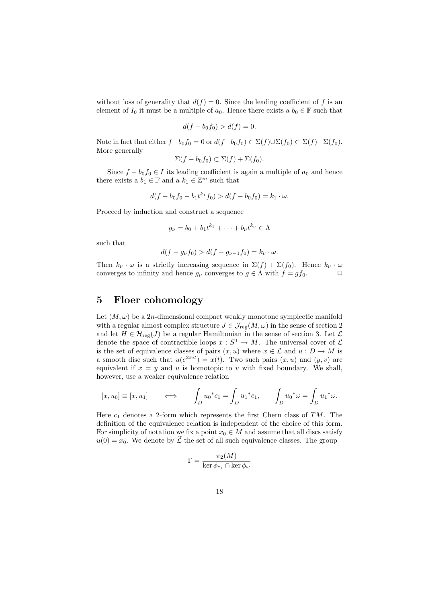without loss of generality that  $d(f) = 0$ . Since the leading coefficient of f is an element of  $I_0$  it must be a multiple of  $a_0$ . Hence there exists a  $b_0 \in \mathbb{F}$  such that

$$
d(f - b_0 f_0) > d(f) = 0.
$$

Note in fact that either  $f-b_0f_0 = 0$  or  $d(f-b_0f_0) \in \Sigma(f) \cup \Sigma(f_0) \subset \Sigma(f) + \Sigma(f_0)$ . More generally

$$
\Sigma(f - b_0 f_0) \subset \Sigma(f) + \Sigma(f_0).
$$

Since  $f - b_0 f_0 \in I$  its leading coefficient is again a multiple of  $a_0$  and hence there exists a  $b_1 \in \mathbb{F}$  and a  $k_1 \in \mathbb{Z}^m$  such that

$$
d(f - b_0f_0 - b_1t^{k_1}f_0) > d(f - b_0f_0) = k_1 \cdot \omega.
$$

Proceed by induction and construct a sequence

$$
g_{\nu}=b_0+b_1t^{k_1}+\cdots+b_{\nu}t^{k_{\nu}}\in\Lambda
$$

such that

$$
d(f - g_{\nu} f_0) > d(f - g_{\nu-1} f_0) = k_{\nu} \cdot \omega.
$$

Then  $k_{\nu} \cdot \omega$  is a strictly increasing sequence in  $\Sigma(f) + \Sigma(f_0)$ . Hence  $k_{\nu} \cdot \omega$  converges to infinity and hence  $a_{\nu}$  converges to  $a \in \Lambda$  with  $f = af_0$ converges to infinity and hence  $g_{\nu}$  converges to  $g \in \Lambda$  with  $f = gf_0$ .

### 5 Floer cohomology

Let  $(M, \omega)$  be a 2n-dimensional compact weakly monotone symplectic manifold with a regular almost complex structure  $J \in \mathcal{J}_{reg}(M,\omega)$  in the sense of section 2 and let  $H \in \mathcal{H}_{reg}(J)$  be a regular Hamiltonian in the sense of section 3. Let  $\mathcal{L}$ denote the space of contractible loops  $x : S^1 \to M$ . The universal cover of  $\mathcal L$ is the set of equivalence classes of pairs  $(x, u)$  where  $x \in \mathcal{L}$  and  $u : D \to M$  is a smooth disc such that  $u(e^{2\pi it}) = x(t)$ . Two such pairs  $(x, u)$  and  $(y, v)$  are equivalent if  $x = y$  and u is homotopic to v with fixed boundary. We shall, however, use a weaker equivalence relation

$$
[x, u_0] \equiv [x, u_1] \qquad \Longleftrightarrow \qquad \int_D u_0^* c_1 = \int_D u_1^* c_1, \qquad \int_D u_0^* \omega = \int_D u_1^* \omega.
$$

Here  $c_1$  denotes a 2-form which represents the first Chern class of TM. The definition of the equivalence relation is independent of the choice of this form. For simplicity of notation we fix a point  $x_0 \in M$  and assume that all discs satisfy  $u(0) = x_0$ . We denote by  $\mathcal L$  the set of all such equivalence classes. The group

$$
\Gamma = \frac{\pi_2(M)}{\ker \phi_{c_1} \cap \ker \phi_{\omega}}
$$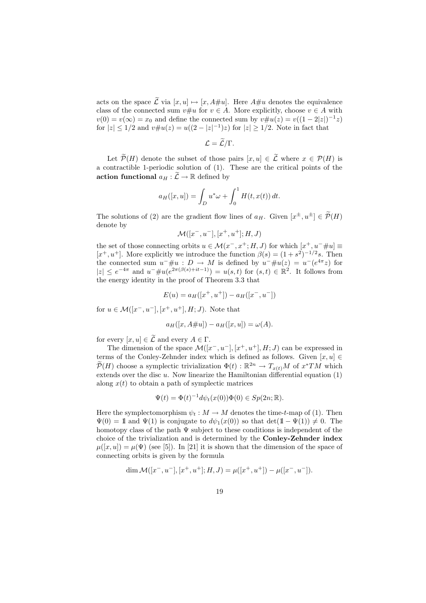acts on the space  $\widetilde{\mathcal{L}}$  via  $[x, u] \mapsto [x, A\#u]$ . Here  $A\#u$  denotes the equivalence class of the connected sum  $v \# u$  for  $v \in A$ . More explicitly, choose  $v \in A$  with  $v(0) = v(\infty) = x_0$  and define the connected sum by  $v \# u(z) = v((1 - 2|z|)^{-1}z)$ for  $|z| \le 1/2$  and  $v \# u(z) = u((2 - |z|^{-1})z)$  for  $|z| \ge 1/2$ . Note in fact that

$$
\mathcal{L}=\mathcal{L}/\Gamma.
$$

Let  $\mathcal{P}(H)$  denote the subset of those pairs  $[x, u] \in \mathcal{L}$  where  $x \in \mathcal{P}(H)$  is a contractible 1-periodic solution of (1). These are the critical points of the action functional  $a_H : \widetilde{\mathcal{L}} \to \mathbb{R}$  defined by

$$
a_H([x, u]) = \int_D u^* \omega + \int_0^1 H(t, x(t)) dt.
$$

The solutions of (2) are the gradient flow lines of  $a_H$ . Given  $[x^{\pm}, u^{\pm}] \in \mathcal{P}(H)$ denote by

$$
\mathcal{M}([x^-,u^-],[x^+,u^+];H,J)
$$

the set of those connecting orbits  $u \in \mathcal{M}(x^-, x^+; H, J)$  for which  $[x^+, u^- \# u] \equiv$  $[x^+, u^+]$ . More explicitly we introduce the function  $\beta(s) = (1 + s^2)^{-1/2} s$ . Then the connected sum  $u^- \# u$ :  $D \to M$  is defined by  $u^- \# u(z) = u^-(e^{4\pi z})$  for  $|z| \le e^{-4\pi}$  and  $u^- \# u(e^{2\pi(\beta(s)+it-1)}) = u(s,t)$  for  $(s,t) \in \mathbb{R}^2$ . It follows from the energy identity in the proof of Theorem 3.3 that

$$
E(u) = a_H([x^+, u^+]) - a_H([x^-, u^-])
$$

for  $u \in \mathcal{M}([x^-, u^-], [x^+, u^+], H; J)$ . Note that

$$
a_H([x, A#u]) - a_H([x, u]) = \omega(A).
$$

for every  $[x, u] \in \widetilde{\mathcal{L}}$  and every  $A \in \Gamma$ .

The dimension of the space  $\mathcal{M}([x^-, u^-], [x^+, u^+], H; J)$  can be expressed in terms of the Conley-Zehnder index which is defined as follows. Given  $[x, u] \in$  $\widetilde{\mathcal{P}}(H)$  choose a symplectic trivialization  $\Phi(t) : \mathbb{R}^{2n} \to T_{x(t)}M$  of  $x^*TM$  which extends over the disc  $u$ . Now linearize the Hamiltonian differential equation  $(1)$ along  $x(t)$  to obtain a path of symplectic matrices

$$
\Psi(t) = \Phi(t)^{-1} d\psi_t(x(0)) \Phi(0) \in Sp(2n; \mathbb{R}).
$$

Here the symplectomorphism  $\psi_t : M \to M$  denotes the time-t-map of (1). Then  $\Psi(0) = 1$  and  $\Psi(1)$  is conjugate to  $d\psi_1(x(0))$  so that  $\det(1 - \Psi(1)) \neq 0$ . The homotopy class of the path  $\Psi$  subject to these conditions is independent of the choice of the trivialization and is determined by the Conley-Zehnder index  $\mu([x, u]) = \mu(\Psi)$  (see [5]). In [21] it is shown that the dimension of the space of connecting orbits is given by the formula

$$
\dim \mathcal{M}([x^-,u^-],[x^+,u^+];H,J)=\mu([x^+,u^+])-\mu([x^-,u^-]).
$$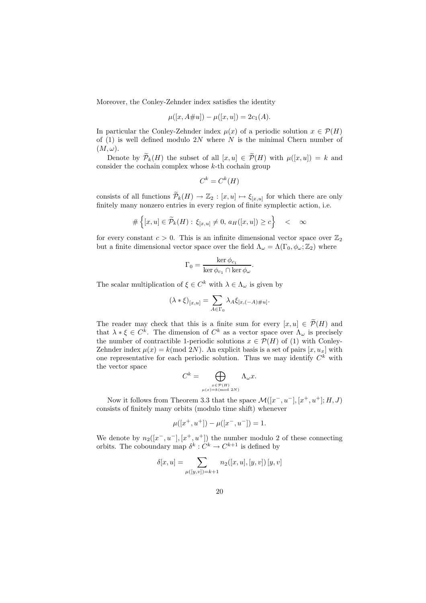Moreover, the Conley-Zehnder index satisfies the identity

$$
\mu([x, A\# u]) - \mu([x, u]) = 2c_1(A).
$$

In particular the Conley-Zehnder index  $\mu(x)$  of a periodic solution  $x \in \mathcal{P}(H)$ of  $(1)$  is well defined modulo 2N where N is the minimal Chern number of  $(M, \omega).$ 

Denote by  $\widetilde{\mathcal{P}}_k(H)$  the subset of all  $[x, u] \in \widetilde{\mathcal{P}}(H)$  with  $\mu([x, u]) = k$  and consider the cochain complex whose  $k$ -th cochain group

$$
C^k = C^k(H)
$$

consists of all functions  $\widetilde{\mathcal{P}}_k(H) \to \mathbb{Z}_2 : [x, u] \mapsto \xi_{[x, u]}$  for which there are only finitely many nonzero entries in every region of finite symplectic action, i.e.

$$
\#\left\{ [x,u] \in \widetilde{\mathcal{P}}_k(H) : \xi_{[x,u]} \neq 0, \, a_H([x,u]) \ge c \right\} \quad < \quad \infty
$$

for every constant  $c > 0$ . This is an infinite dimensional vector space over  $\mathbb{Z}_2$ but a finite dimensional vector space over the field  $\Lambda_{\omega} = \Lambda(\Gamma_0, \phi_{\omega}; \mathbb{Z}_2)$  where

$$
\Gamma_0 = \frac{\ker \phi_{c_1}}{\ker \phi_{c_1} \cap \ker \phi_{\omega}}.
$$

The scalar multiplication of  $\xi \in C^k$  with  $\lambda \in \Lambda_\omega$  is given by

$$
(\lambda * \xi)_{[x,u]} = \sum_{A \in \Gamma_0} \lambda_A \xi_{[x, (-A) \# u]}.
$$

The reader may check that this is a finite sum for every  $[x, u] \in \mathcal{P}(H)$  and that  $\lambda * \xi \in C^k$ . The dimension of  $C^k$  as a vector space over  $\Lambda_\omega$  is precisely the number of contractible 1-periodic solutions  $x \in \mathcal{P}(H)$  of (1) with Conley-Zehnder index  $\mu(x) = k \pmod{2N}$ . An explicit basis is a set of pairs  $[x, u_x]$  with one representative for each periodic solution. Thus we may identify  $C^k$  with the vector space

$$
C^k = \bigoplus_{\substack{x \in \mathcal{P}(H) \\ \mu(x) = k \pmod{2N}}} \Lambda_\omega x.
$$

Now it follows from Theorem 3.3 that the space  $\mathcal{M}([x^-, u^-], [x^+, u^+]; H, J)$ consists of finitely many orbits (modulo time shift) whenever

$$
\mu([x^+, u^+]) - \mu([x^-, u^-]) = 1.
$$

We denote by  $n_2([x^-, u^-], [x^+, u^+])$  the number modulo 2 of these connecting orbits. The coboundary map  $\delta^k: C^k \to C^{k+1}$  is defined by

$$
\delta[x, u] = \sum_{\mu([y, v]) = k+1} n_2([x, u], [y, v]) [y, v]
$$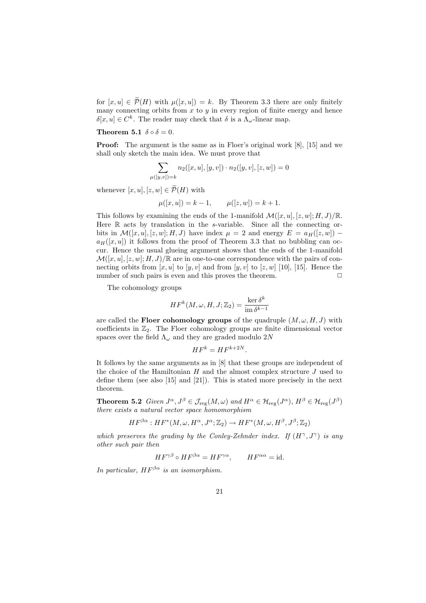for  $[x, u] \in \widetilde{\mathcal{P}}(H)$  with  $\mu([x, u]) = k$ . By Theorem 3.3 there are only finitely many connecting orbits from x to y in every region of finite energy and hence  $\delta[x, u] \in C^k$ . The reader may check that  $\delta$  is a  $\Lambda_\omega$ -linear map.

#### Theorem 5.1  $\delta \circ \delta = 0$ .

**Proof:** The argument is the same as in Floer's original work [8], [15] and we shall only sketch the main idea. We must prove that

$$
\sum_{\mu([y,v])=k} n_2([x,u],[y,v]) \cdot n_2([y,v],[z,w]) = 0
$$

whenever  $[x, u], [z, w] \in \widetilde{\mathcal{P}}(H)$  with

$$
\mu([x,u]) = k - 1, \qquad \mu([z,w]) = k + 1.
$$

This follows by examining the ends of the 1-manifold  $\mathcal{M}([x, u], [z, w]; H, J)/\mathbb{R}$ . Here  $\mathbb R$  acts by translation in the s-variable. Since all the connecting orbits in  $\mathcal{M}([x, u], [z, w]; H, J)$  have index  $\mu = 2$  and energy  $E = a_H([z, w])$  $a_H([x, u])$  it follows from the proof of Theorem 3.3 that no bubbling can occur. Hence the usual glueing argument shows that the ends of the 1-manifold  $\mathcal{M}([x, u], [z, w]; H, J)/\mathbb{R}$  are in one-to-one correspondence with the pairs of connecting orbits from  $[x, u]$  to  $[y, v]$  and from  $[y, v]$  to  $[z, w]$  [10], [15]. Hence the number of such pairs is even and this proves the theorem.  $\Box$ 

The cohomology groups

$$
HF^k(M, \omega, H, J; \mathbb{Z}_2) = \frac{\ker \delta^k}{\operatorname{im} \delta^{k-1}}
$$

are called the **Floer cohomology groups** of the quadruple  $(M, \omega, H, J)$  with coefficients in  $\mathbb{Z}_2$ . The Floer cohomology groups are finite dimensional vector spaces over the field  $\Lambda_{\omega}$  and they are graded modulo 2N

$$
HF^k = HF^{k+2N}.
$$

It follows by the same arguments as in [8] that these groups are independent of the choice of the Hamiltonian  $H$  and the almost complex structure  $J$  used to define them (see also [15] and [21]). This is stated more precisely in the next theorem.

**Theorem 5.2** Given  $J^{\alpha}, J^{\beta} \in \mathcal{J}_{reg}(M, \omega)$  and  $H^{\alpha} \in \mathcal{H}_{reg}(J^{\alpha}), H^{\beta} \in \mathcal{H}_{reg}(J^{\beta})$ there exists a natural vector space homomorphism

$$
HF^{\beta\alpha}: HF^*(M, \omega, H^{\alpha}, J^{\alpha}; \mathbb{Z}_2) \to HF^*(M, \omega, H^{\beta}, J^{\beta}; \mathbb{Z}_2)
$$

which preserves the grading by the Conley-Zehnder index. If  $(H^{\gamma}, J^{\gamma})$  is any other such pair then

$$
HF^{\gamma\beta} \circ HF^{\beta\alpha} = HF^{\gamma\alpha}, \qquad HF^{\alpha\alpha} = id.
$$

In particular,  $HF^{\beta\alpha}$  is an isomorphism.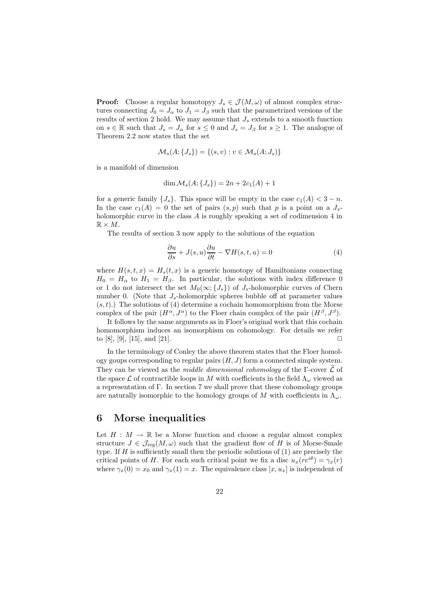**Proof:** Choose a regular homotopyy  $J_s \in \mathcal{J}(M,\omega)$  of almost complex structures connecting  $J_0 = J_\alpha$  to  $J_1 = J_\beta$  such that the parametrized versions of the results of section 2 hold. We may assume that  $J_s$  extends to a smooth function on  $s \in \mathbb{R}$  such that  $J_s = J_\alpha$  for  $s \leq 0$  and  $J_s = J_\beta$  for  $s \geq 1$ . The analogue of Theorem 2.2 now states that the set

$$
\mathcal{M}_s(A; \{J_s\}) = \{(s, v) : v \in \mathcal{M}_s(A; J_s)\}
$$

is a manifold of dimension

$$
\dim \mathcal{M}_s(A; \{J_s\}) = 2n + 2c_1(A) + 1
$$

for a generic family  $\{J_s\}$ . This space will be empty in the case  $c_1(A) < 3 - n$ . In the case  $c_1(A) = 0$  the set of pairs  $(s, p)$  such that p is a point on a  $J_s$ holomorphic curve in the class A is roughly speaking a set of codimension 4 in  $\mathbb{R} \times M$ .

The results of section 3 now apply to the solutions of the equation

$$
\frac{\partial u}{\partial s} + J(s, u)\frac{\partial u}{\partial t} - \nabla H(s, t, u) = 0\tag{4}
$$

where  $H(s,t,x) = H_s(t,x)$  is a generic homotopy of Hamiltonians connecting  $H_0 = H_\alpha$  to  $H_1 = H_\beta$ . In particular, the solutions with index difference 0 or 1 do not intersect the set  $M_0(\infty; \{J_s\})$  of  $J_s$ -holomorphic curves of Chern number 0. (Note that  $J_s$ -holomorphic spheres bubble off at parameter values  $(s,t)$ .) The solutions of (4) determine a cochain homomorphism from the Morse complex of the pair  $(H^{\alpha}, J^{\alpha})$  to the Floer chain complex of the pair  $(H^{\beta}, J^{\beta})$ .

It follows by the same arguments as in Floer's original work that this cochain homomorphism induces an isomorphism on cohomology. For details we refer to  $[8], [9], [15],$  and  $[21].$ 

In the terminology of Conley the above theorem states that the Floer homology goups corresponding to regular pairs  $(H, J)$  form a connected simple system. They can be viewed as the middle dimensional cohomology of the Γ-cover  $\mathcal L$  of the space  $\mathcal L$  of contractible loops in M with coefficients in the field  $\Lambda_\omega$  viewed as a representation of Γ. In section 7 we shall prove that these cohomology groups are naturally isomorphic to the homology groups of M with coefficients in  $\Lambda_{\omega}$ .

# 6 Morse inequalities

Let  $H : M \to \mathbb{R}$  be a Morse function and choose a regular almost complex structure  $J \in \mathcal{J}_{reg}(M,\omega)$  such that the gradient flow of H is of Morse-Smale type. If  $H$  is sufficiently small then the periodic solutions of  $(1)$  are precisely the critical points of H. For each such critical point we fix a disc  $u_x(re^{i\theta}) = \gamma_x(r)$ where  $\gamma_x(0) = x_0$  and  $\gamma_x(1) = x$ . The equivalence class  $[x, u_x]$  is independent of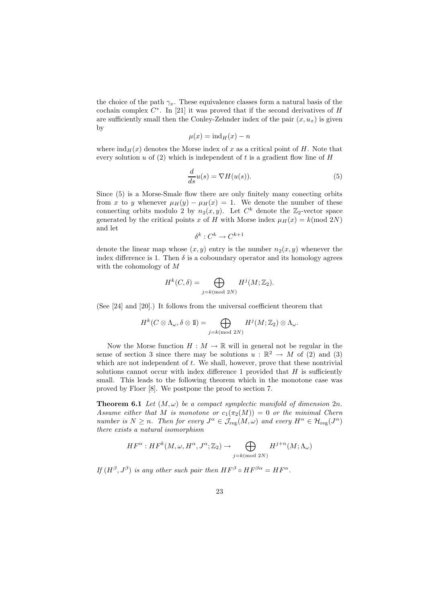the choice of the path  $\gamma_x$ . These equivalence classes form a natural basis of the cochain complex  $C^*$ . In [21] it was proved that if the second derivatives of H are sufficiently small then the Conley-Zehnder index of the pair  $(x, u_x)$  is given by

$$
\mu(x) = \text{ind}_H(x) - n
$$

where  $\text{ind}_{H}(x)$  denotes the Morse index of x as a critical point of H. Note that every solution u of  $(2)$  which is independent of t is a gradient flow line of H

$$
\frac{d}{ds}u(s) = \nabla H(u(s)).\tag{5}
$$

Since (5) is a Morse-Smale flow there are only finitely many conecting orbits from x to y whenever  $\mu_H(y) - \mu_H(x) = 1$ . We denote the number of these connecting orbits modulo 2 by  $n_2(x, y)$ . Let  $C^k$  denote the  $\mathbb{Z}_2$ -vector space generated by the critical points x of H with Morse index  $\mu_H(x) = k \text{ (mod } 2N)$ and let

$$
\delta^k : C^k \to C^{k+1}
$$

denote the linear map whose  $(x, y)$  entry is the number  $n_2(x, y)$  whenever the index difference is 1. Then  $\delta$  is a coboundary operator and its homology agrees with the cohomology of M

$$
H^k(C, \delta) = \bigoplus_{j=k \pmod{2N}} H^j(M; \mathbb{Z}_2).
$$

(See [24] and [20].) It follows from the universal coefficient theorem that

$$
H^k(C\otimes\Lambda_\omega,\delta\otimes 1\!\!1)=\bigoplus_{j=k(\text{mod }2N)}H^j(M;\mathbb{Z}_2)\otimes\Lambda_\omega.
$$

Now the Morse function  $H : M \to \mathbb{R}$  will in general not be regular in the sense of section 3 since there may be solutions  $u : \mathbb{R}^2 \to M$  of (2) and (3) which are not independent of  $t$ . We shall, however, prove that these nontrivial solutions cannot occur with index difference  $1$  provided that  $H$  is sufficiently small. This leads to the following theorem which in the monotone case was proved by Floer [8]. We postpone the proof to section 7.

**Theorem 6.1** Let  $(M, \omega)$  be a compact symplectic manifold of dimension  $2n$ . Assume either that M is monotone or  $c_1(\pi_2(M)) = 0$  or the minimal Chern number is  $N \geq n$ . Then for every  $J^{\alpha} \in \mathcal{J}_{reg}(M,\omega)$  and every  $H^{\alpha} \in \mathcal{H}_{reg}(J^{\alpha})$ there exists a natural isomorphism

$$
HF^{\alpha}: HF^{k}(M, \omega, H^{\alpha}, J^{\alpha}; \mathbb{Z}_{2}) \to \bigoplus_{j=k \pmod{2N}} H^{j+n}(M; \Lambda_{\omega})
$$

If  $(H^{\beta}, J^{\beta})$  is any other such pair then  $HF^{\beta} \circ HF^{\beta \alpha} = HF^{\alpha}$ .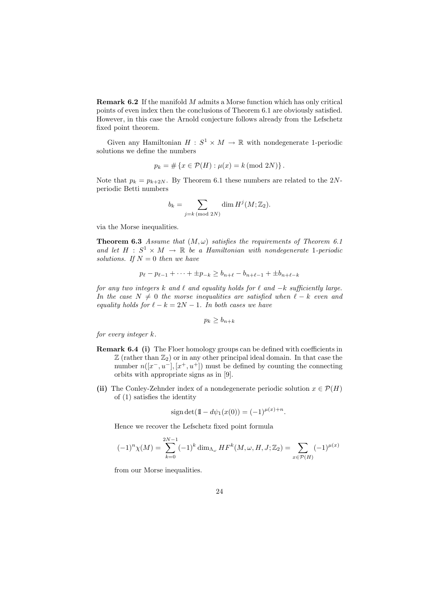**Remark 6.2** If the manifold  $M$  admits a Morse function which has only critical points of even index then the conclusions of Theorem 6.1 are obviously satisfied. However, in this case the Arnold conjecture follows already from the Lefschetz fixed point theorem.

Given any Hamiltonian  $H: S^1 \times M \to \mathbb{R}$  with nondegenerate 1-periodic solutions we define the numbers

$$
p_k = # \{ x \in \mathcal{P}(H) : \mu(x) = k \, (\text{mod } 2N) \}.
$$

Note that  $p_k = p_{k+2N}$ . By Theorem 6.1 these numbers are related to the 2Nperiodic Betti numbers

$$
b_k = \sum_{j=k \pmod{2N}} \dim H^j(M; \mathbb{Z}_2).
$$

via the Morse inequalities.

**Theorem 6.3** Assume that  $(M, \omega)$  satisfies the requirements of Theorem 6.1 and let  $H : S^1 \times M \to \mathbb{R}$  be a Hamiltonian with nondegenerate 1-periodic solutions. If  $N = 0$  then we have

$$
p_{\ell} - p_{\ell-1} + \dots + \pm p_{-k} \ge b_{n+\ell} - b_{n+\ell-1} + \pm b_{n+\ell-k}
$$

for any two integers k and  $\ell$  and equality holds for  $\ell$  and  $-k$  sufficiently large. In the case  $N \neq 0$  the morse inequalities are satisfied when  $\ell - k$  even and equality holds for  $\ell - k = 2N - 1$ . In both cases we have

$$
p_k \ge b_{n+k}
$$

for every integer k.

- Remark 6.4 (i) The Floer homology groups can be defined with coefficients in  $\mathbb{Z}$  (rather than  $\mathbb{Z}_2$ ) or in any other principal ideal domain. In that case the number  $n([x^-, u^-], [x^+, u^+])$  must be defined by counting the connecting orbits with appropriate signs as in [9].
- (ii) The Conley-Zehnder index of a nondegenerate periodic solution  $x \in \mathcal{P}(H)$ of (1) satisfies the identity

$$
sign det(\mathbb{1} - d\psi_1(x(0)) = (-1)^{\mu(x)+n}.
$$

Hence we recover the Lefschetz fixed point formula

$$
(-1)^{n} \chi(M) = \sum_{k=0}^{2N-1} (-1)^{k} \dim_{\Lambda_{\omega}} HF^{k}(M, \omega, H, J; \mathbb{Z}_{2}) = \sum_{x \in \mathcal{P}(H)} (-1)^{\mu(x)}
$$

from our Morse inequalities.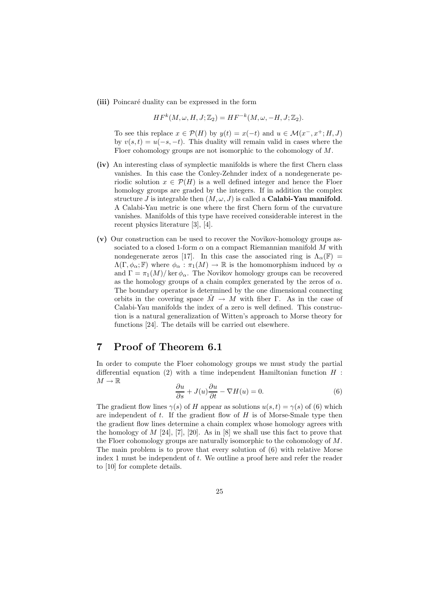(iii) Poincaré duality can be expressed in the form

$$
HFk(M, \omega, H, J; \mathbb{Z}_2) = HF-k(M, \omega, -H, J; \mathbb{Z}_2).
$$

To see this replace  $x \in \mathcal{P}(H)$  by  $y(t) = x(-t)$  and  $u \in \mathcal{M}(x^-, x^+; H, J)$ by  $v(s,t) = u(-s,-t)$ . This duality will remain valid in cases where the Floer cohomology groups are not isomorphic to the cohomology of M.

- (iv) An interesting class of symplectic manifolds is where the first Chern class vanishes. In this case the Conley-Zehnder index of a nondegenerate periodic solution  $x \in \mathcal{P}(H)$  is a well defined integer and hence the Floer homology groups are graded by the integers. If in addition the complex structure J is integrable then  $(M, \omega, J)$  is called a **Calabi-Yau manifold**. A Calabi-Yau metric is one where the first Chern form of the curvature vanishes. Manifolds of this type have received considerable interest in the recent physics literature [3], [4].
- (v) Our construction can be used to recover the Novikov-homology groups associated to a closed 1-form  $\alpha$  on a compact Riemannian manifold M with nondegenerate zeros [17]. In this case the associated ring is  $\Lambda_{\alpha}(\mathbb{F}) =$  $\Lambda(\Gamma,\phi_{\alpha};\mathbb{F})$  where  $\phi_{\alpha}:\pi_1(M)\to\mathbb{R}$  is the homomorphism induced by  $\alpha$ and  $\Gamma = \pi_1(M)/\ker \phi_\alpha$ . The Novikov homology groups can be recovered as the homology groups of a chain complex generated by the zeros of  $\alpha$ . The boundary operator is determined by the one dimensional connecting orbits in the covering space  $M \to M$  with fiber Γ. As in the case of Calabi-Yau manifolds the index of a zero is well defined. This construction is a natural generalization of Witten's approach to Morse theory for functions [24]. The details will be carried out elsewhere.

# 7 Proof of Theorem 6.1

In order to compute the Floer cohomology groups we must study the partial differential equation  $(2)$  with a time independent Hamiltonian function  $H$ :  $M \to \mathbb{R}$ 

$$
\frac{\partial u}{\partial s} + J(u)\frac{\partial u}{\partial t} - \nabla H(u) = 0.
$$
\n(6)

The gradient flow lines  $\gamma(s)$  of H appear as solutions  $u(s,t) = \gamma(s)$  of (6) which are independent of  $t$ . If the gradient flow of  $H$  is of Morse-Smale type then the gradient flow lines determine a chain complex whose homology agrees with the homology of  $M$  [24], [7], [20]. As in [8] we shall use this fact to prove that the Floer cohomology groups are naturally isomorphic to the cohomology of M. The main problem is to prove that every solution of (6) with relative Morse index 1 must be independent of  $t$ . We outline a proof here and refer the reader to [10] for complete details.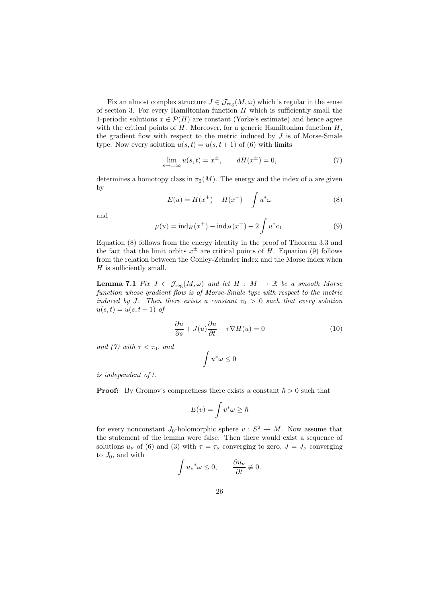Fix an almost complex structure  $J \in \mathcal{J}_{reg}(M,\omega)$  which is regular in the sense of section 3. For every Hamiltonian function  $H$  which is sufficiently small the 1-periodic solutions  $x \in \mathcal{P}(H)$  are constant (Yorke's estimate) and hence agree with the critical points of  $H$ . Moreover, for a generic Hamiltonian function  $H$ , the gradient flow with respect to the metric induced by  $J$  is of Morse-Smale type. Now every solution  $u(s,t) = u(s,t+1)$  of (6) with limits

$$
\lim_{s \to \pm \infty} u(s, t) = x^{\pm}, \qquad dH(x^{\pm}) = 0,
$$
\n(7)

determines a homotopy class in  $\pi_2(M)$ . The energy and the index of u are given by

$$
E(u) = H(x^{+}) - H(x^{-}) + \int u^{*} \omega
$$
\n(8)

and

$$
\mu(u) = \text{ind}_{H}(x^{+}) - \text{ind}_{H}(x^{-}) + 2 \int u^{*} c_{1}.
$$
\n(9)

Equation (8) follows from the energy identity in the proof of Theorem 3.3 and the fact that the limit orbits  $x^{\pm}$  are critical points of H. Equation (9) follows from the relation between the Conley-Zehnder index and the Morse index when  $H$  is sufficiently small.

**Lemma 7.1** Fix  $J \in \mathcal{J}_{reg}(M,\omega)$  and let  $H : M \to \mathbb{R}$  be a smooth Morse function whose gradient flow is of Morse-Smale type with respect to the metric induced by J. Then there exists a constant  $\tau_0 > 0$  such that every solution  $u(s,t) = u(s,t+1)$  of

$$
\frac{\partial u}{\partial s} + J(u)\frac{\partial u}{\partial t} - \tau \nabla H(u) = 0
$$
\n(10)

and (7) with  $\tau < \tau_0$ , and

$$
\int u^*\omega\leq 0
$$

is independent of t.

**Proof:** By Gromov's compactness there exists a constant  $\hbar > 0$  such that

$$
E(v) = \int v^* \omega \ge \hbar
$$

for every nonconstant  $J_0$ -holomorphic sphere  $v : S^2 \to M$ . Now assume that the statement of the lemma were false. Then there would exist a sequence of solutions  $u_{\nu}$  of (6) and (3) with  $\tau = \tau_{\nu}$  converging to zero,  $J = J_{\nu}$  converging to  $J_0$ , and with

$$
\int u_{\nu}^* \omega \le 0, \qquad \frac{\partial u_{\nu}}{\partial t} \not\equiv 0.
$$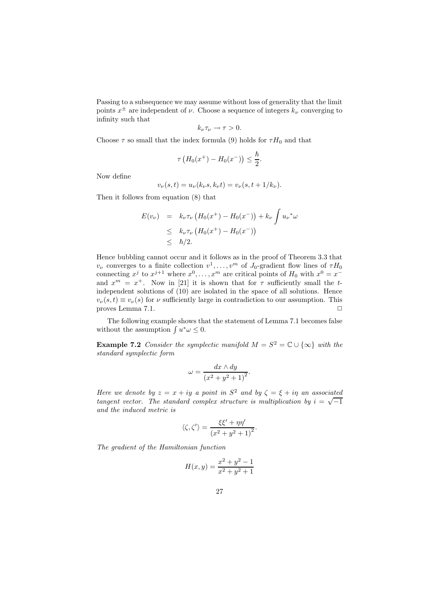Passing to a subsequence we may assume without loss of generality that the limit points  $x^{\pm}$  are independent of  $\nu$ . Choose a sequence of integers  $k_{\nu}$  converging to infinity such that

$$
k_{\nu}\tau_{\nu}\to\tau>0.
$$

Choose  $\tau$  so small that the index formula (9) holds for  $\tau H_0$  and that

$$
\tau\left(H_0(x^+) - H_0(x^-)\right) \le \frac{\hbar}{2}.
$$

Now define

$$
v_{\nu}(s,t) = u_{\nu}(k_{\nu}s, k_{\nu}t) = v_{\nu}(s, t + 1/k_{\nu}).
$$

Then it follows from equation (8) that

$$
E(v_{\nu}) = k_{\nu} \tau_{\nu} (H_0(x^+) - H_0(x^-)) + k_{\nu} \int u_{\nu}^* \omega
$$
  
\n
$$
\leq k_{\nu} \tau_{\nu} (H_0(x^+) - H_0(x^-))
$$
  
\n
$$
\leq \hbar/2.
$$

Hence bubbling cannot occur and it follows as in the proof of Theorem 3.3 that  $v_{\nu}$  converges to a finite collection  $v^1, \ldots, v^m$  of  $J_0$ -gradient flow lines of  $\tau H_0$ connecting  $x^j$  to  $x^{j+1}$  where  $x^0, \ldots, x^m$  are critical points of  $H_0$  with  $x^0 = x^$ and  $x^m = x^+$ . Now in [21] it is shown that for  $\tau$  sufficiently small the tindependent solutions of (10) are isolated in the space of all solutions. Hence  $v_{\nu}(s,t) \equiv v_{\nu}(s)$  for  $\nu$  sufficiently large in contradiction to our assumption. This proves Lemma 7.1. proves Lemma 7.1.

The following example shows that the statement of Lemma 7.1 becomes false without the assumption  $\int u^*\omega \leq 0$ .

**Example 7.2** Consider the symplectic manifold  $M = S^2 = \mathbb{C} \cup \{\infty\}$  with the standard symplectic form

$$
\omega = \frac{dx \wedge dy}{\left(x^2 + y^2 + 1\right)^2}.
$$

Here we denote by  $z = x + iy$  a point in  $S^2$  and by  $\zeta = \xi + i\eta$  an associated tangent vector. The standard complex structure is multiplication by  $i = \sqrt{-1}$ and the induced metric is

$$
\langle \zeta, \zeta' \rangle = \frac{\xi \xi' + \eta \eta'}{\left(x^2 + y^2 + 1\right)^2}.
$$

The gradient of the Hamiltonian function

$$
H(x,y) = \frac{x^2 + y^2 - 1}{x^2 + y^2 + 1}
$$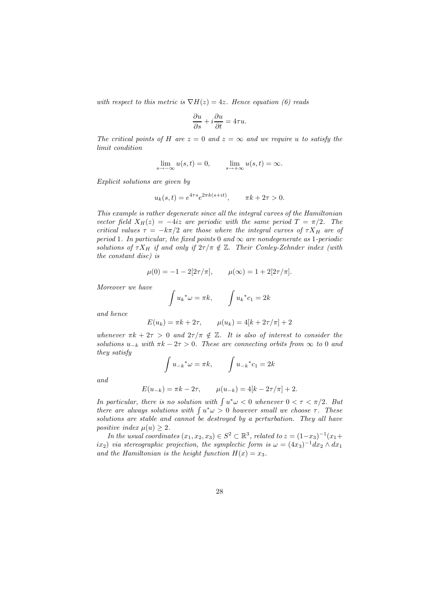with respect to this metric is  $\nabla H(z) = 4z$ . Hence equation (6) reads

$$
\frac{\partial u}{\partial s} + i \frac{\partial u}{\partial t} = 4\tau u.
$$

The critical points of H are  $z = 0$  and  $z = \infty$  and we require u to satisfy the limit condition

$$
\lim_{s \to -\infty} u(s, t) = 0, \qquad \lim_{s \to +\infty} u(s, t) = \infty.
$$

Explicit solutions are given by

$$
u_k(s,t) = e^{4\tau s} e^{2\pi k(s+it)}, \quad \pi k + 2\tau > 0.
$$

This example is rather degenerate since all the integral curves of the Hamiltonian vector field  $X_H(z) = -4iz$  are periodic with the same period  $T = \pi/2$ . The critical values  $\tau = -k\pi/2$  are those where the integral curves of  $\tau X_H$  are of period 1. In particular, the fixed points 0 and  $\infty$  are nondegenerate as 1-periodic solutions of  $\tau X_H$  if and only if  $2\tau/\pi \notin \mathbb{Z}$ . Their Conley-Zehnder index (with the constant disc) is

$$
\mu(0) = -1 - 2[2\tau/\pi],
$$
\n $\mu(\infty) = 1 + 2[2\tau/\pi].$ 

Moreover we have

$$
\int u_k^* \omega = \pi k, \qquad \int u_k^* c_1 = 2k
$$

and hence

$$
E(u_k) = \pi k + 2\tau
$$
,  $\mu(u_k) = 4[k + 2\tau/\pi] + 2$ 

whenever  $\pi k + 2\tau > 0$  and  $2\tau/\pi \notin \mathbb{Z}$ . It is also of interest to consider the solutions  $u_{-k}$  with  $\pi k - 2\tau > 0$ . These are connecting orbits from  $\infty$  to 0 and they satisfy

$$
\int u_{-k}^* \omega = \pi k, \qquad \int u_{-k}^* c_1 = 2k
$$

and

$$
E(u_{-k}) = \pi k - 2\tau, \qquad \mu(u_{-k}) = 4[k - 2\tau/\pi] + 2.
$$

In particular, there is no solution with  $\int u^*\omega < 0$  whenever  $0 < \tau < \pi/2$ . But there are always solutions with  $\int u^*\omega > 0$  however small we choose  $\tau$ . These solutions are stable and cannot be destroyed by a perturbation. They all have positive index  $\mu(u) > 2$ .

In the usual coordinates  $(x_1, x_2, x_3) \in S^2 \subset \mathbb{R}^3$ , related to  $z = (1-x_3)^{-1}(x_1 +$  $(ix_2)$  via stereographic projection, the symplectic form is  $\omega = (4x_3)^{-1}dx_2 \wedge dx_1$ and the Hamiltonian is the height function  $H(x) = x_3$ .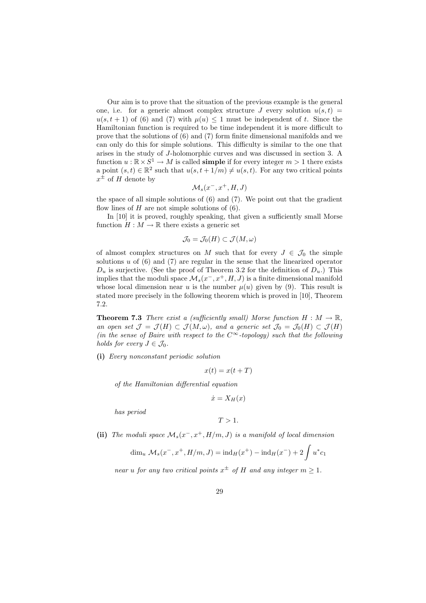Our aim is to prove that the situation of the previous example is the general one, i.e. for a generic almost complex structure J every solution  $u(s,t)$  =  $u(s,t+1)$  of (6) and (7) with  $\mu(u) \leq 1$  must be independent of t. Since the Hamiltonian function is required to be time independent it is more difficult to prove that the solutions of (6) and (7) form finite dimensional manifolds and we can only do this for simple solutions. This difficulty is similar to the one that arises in the study of J-holomorphic curves and was discussed in section 3. A function  $u : \mathbb{R} \times S^1 \to M$  is called **simple** if for every integer  $m > 1$  there exists a point  $(s,t) \in \mathbb{R}^2$  such that  $u(s,t+1/m) \neq u(s,t)$ . For any two critical points  $x^{\pm}$  of H denote by

$$
\mathcal{M}_s(x^-, x^+, H, J)
$$

the space of all simple solutions of (6) and (7). We point out that the gradient flow lines of  $H$  are not simple solutions of  $(6)$ .

In [10] it is proved, roughly speaking, that given a sufficiently small Morse function  $H : M \to \mathbb{R}$  there exists a generic set

$$
\mathcal{J}_0=\mathcal{J}_0(H)\subset \mathcal{J}(M,\omega)
$$

of almost complex structures on M such that for every  $J \in \mathcal{J}_0$  the simple solutions  $u$  of  $(6)$  and  $(7)$  are regular in the sense that the linearized operator  $D_u$  is surjective. (See the proof of Theorem 3.2 for the definition of  $D_u$ .) This implies that the moduli space  $\mathcal{M}_s(x^-, x^+, H, J)$  is a finite dimensional manifold whose local dimension near u is the number  $\mu(u)$  given by (9). This result is stated more precisely in the following theorem which is proved in [10], Theorem 7.2.

**Theorem 7.3** There exist a (sufficiently small) Morse function  $H : M \to \mathbb{R}$ , an open set  $\mathcal{J} = \mathcal{J}(H) \subset \mathcal{J}(M,\omega)$ , and a generic set  $\mathcal{J}_0 = \mathcal{J}_0(H) \subset \mathcal{J}(H)$ (in the sense of Baire with respect to the  $C^{\infty}$ -topology) such that the following holds for every  $J \in \mathcal{J}_0$ .

(i) Every nonconstant periodic solution

$$
x(t) = x(t+T)
$$

of the Hamiltonian differential equation

$$
\dot{x} = X_H(x)
$$

has period

$$
T>1.
$$

(ii) The moduli space  $\mathcal{M}_s(x^-, x^+, H/m, J)$  is a manifold of local dimension

$$
\dim_u \mathcal{M}_s(x^-, x^+, H/m, J) = \mathrm{ind}_H(x^+) - \mathrm{ind}_H(x^-) + 2 \int u^* c_1
$$

near u for any two critical points  $x^{\pm}$  of H and any integer  $m \geq 1$ .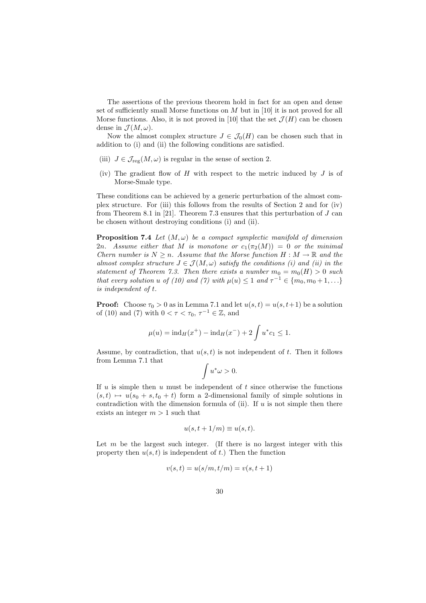The assertions of the previous theorem hold in fact for an open and dense set of sufficiently small Morse functions on  $M$  but in [10] it is not proved for all Morse functions. Also, it is not proved in [10] that the set  $\mathcal{J}(H)$  can be chosen dense in  $\mathcal{J}(M,\omega)$ .

Now the almost complex structure  $J \in \mathcal{J}_0(H)$  can be chosen such that in addition to (i) and (ii) the following conditions are satisfied.

- (iii)  $J \in \mathcal{J}_{reg}(M,\omega)$  is regular in the sense of section 2.
- (iv) The gradient flow of  $H$  with respect to the metric induced by  $J$  is of Morse-Smale type.

These conditions can be achieved by a generic perturbation of the almost complex structure. For (iii) this follows from the results of Section 2 and for (iv) from Theorem 8.1 in [21]. Theorem 7.3 ensures that this perturbation of  $J$  can be chosen without destroying conditions (i) and (ii).

**Proposition 7.4** Let  $(M, \omega)$  be a compact symplectic manifold of dimension 2n. Assume either that M is monotone or  $c_1(\pi_2(M)) = 0$  or the minimal Chern number is  $N \geq n$ . Assume that the Morse function  $H : M \to \mathbb{R}$  and the almost complex structure  $J \in \mathcal{J}(M,\omega)$  satisfy the conditions (i) and (ii) in the statement of Theorem 7.3. Then there exists a number  $m_0 = m_0(H) > 0$  such that every solution u of (10) and (7) with  $\mu(u) \leq 1$  and  $\tau^{-1} \in \{m_0, m_0 + 1, \ldots\}$ is independent of t.

**Proof:** Choose  $\tau_0 > 0$  as in Lemma 7.1 and let  $u(s,t) = u(s,t+1)$  be a solution of (10) and (7) with  $0 < \tau < \tau_0$ ,  $\tau^{-1} \in \mathbb{Z}$ , and

$$
\mu(u) = \text{ind}_{H}(x^{+}) - \text{ind}_{H}(x^{-}) + 2 \int u^{*} c_{1} \leq 1.
$$

Assume, by contradiction, that  $u(s,t)$  is not independent of t. Then it follows from Lemma 7.1 that

$$
\int u^*\omega>0.
$$

If u is simple then u must be independent of t since otherwise the functions  $(s,t) \mapsto u(s_0 + s,t_0 + t)$  form a 2-dimensional family of simple solutions in contradiction with the dimension formula of (ii). If  $u$  is not simple then there exists an integer  $m > 1$  such that

$$
u(s, t + 1/m) \equiv u(s, t).
$$

Let  $m$  be the largest such integer. (If there is no largest integer with this property then  $u(s,t)$  is independent of t.) Then the function

$$
v(s,t) = u(s/m, t/m) = v(s,t+1)
$$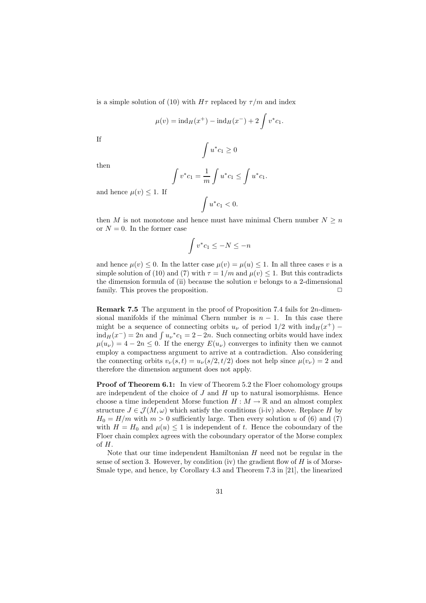is a simple solution of (10) with  $H\tau$  replaced by  $\tau/m$  and index

$$
\mu(v) = \text{ind}_{H}(x^{+}) - \text{ind}_{H}(x^{-}) + 2 \int v^{*} c_{1}.
$$

If

$$
\int u^*c_1\geq 0
$$

then

$$
\int v^* c_1 = \frac{1}{m} \int u^* c_1 \le \int u^* c_1.
$$

and hence  $\mu(v) \leq 1$ . If

$$
\int u^*c_1<0.
$$

then M is not monotone and hence must have minimal Chern number  $N \geq n$ or  $N = 0$ . In the former case

$$
\int v^* c_1 \le -N \le -n
$$

and hence  $\mu(v) \leq 0$ . In the latter case  $\mu(v) = \mu(u) \leq 1$ . In all three cases v is a simple solution of (10) and (7) with  $\tau = 1/m$  and  $\mu(v) \leq 1$ . But this contradicts the dimension formula of (ii) because the solution  $v$  belongs to a 2-dimensional family. This proves the proposition.  $\Box$ 

Remark 7.5 The argument in the proof of Proposition 7.4 fails for 2n-dimensional manifolds if the minimal Chern number is  $n - 1$ . In this case there might be a sequence of connecting orbits  $u_{\nu}$  of period  $1/2$  with  $\text{ind}_{H}(x^{+})$  –  $\text{ind}_{H}(x^{-}) = 2n$  and  $\int u_{\nu}^{*} c_1 = 2 - 2n$ . Such connecting orbits would have index  $\mu(u_{\nu}) = 4 - 2n \leq 0$ . If the energy  $E(u_{\nu})$  converges to infinity then we cannot employ a compactness argument to arrive at a contradiction. Also considering the connecting orbits  $v_{\nu}(s,t) = u_{\nu}(s/2,t/2)$  does not help since  $\mu(v_{\nu}) = 2$  and therefore the dimension argument does not apply.

Proof of Theorem 6.1: In view of Theorem 5.2 the Floer cohomology groups are independent of the choice of  $J$  and  $H$  up to natural isomorphisms. Hence choose a time independent Morse function  $H : M \to \mathbb{R}$  and an almost complex structure  $J \in \mathcal{J}(M, \omega)$  which satisfy the conditions (i-iv) above. Replace H by  $H_0 = H/m$  with  $m > 0$  sufficiently large. Then every solution u of (6) and (7) with  $H = H_0$  and  $\mu(u) \leq 1$  is independent of t. Hence the coboundary of the Floer chain complex agrees with the coboundary operator of the Morse complex of H.

Note that our time independent Hamiltonian  $H$  need not be regular in the sense of section 3. However, by condition (iv) the gradient flow of  $H$  is of Morse-Smale type, and hence, by Corollary 4.3 and Theorem 7.3 in [21], the linearized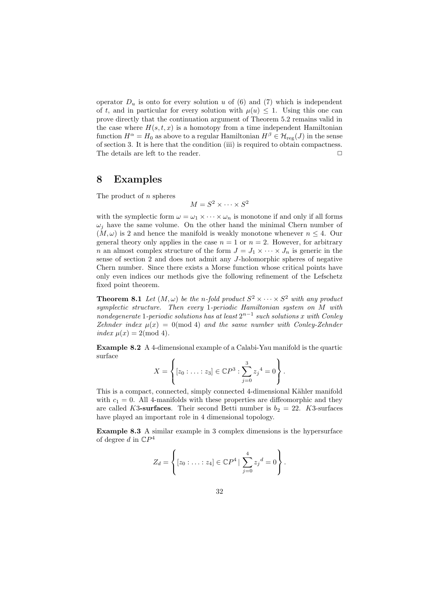operator  $D_u$  is onto for every solution u of (6) and (7) which is independent of t, and in particular for every solution with  $\mu(u) \leq 1$ . Using this one can prove directly that the continuation argument of Theorem 5.2 remains valid in the case where  $H(s,t,x)$  is a homotopy from a time independent Hamiltonian function  $H^{\alpha} = H_0$  as above to a regular Hamiltonian  $H^{\beta} \in \mathcal{H}_{reg}(J)$  in the sense of section 3. It is here that the condition (iii) is required to obtain compactness. The details are left to the reader.  $\Box$ 

## 8 Examples

The product of  $n$  spheres

 $M = S^2 \times \cdots \times S^2$ 

with the symplectic form  $\omega = \omega_1 \times \cdots \times \omega_n$  is monotone if and only if all forms  $\omega_i$  have the same volume. On the other hand the minimal Chern number of  $(M, \omega)$  is 2 and hence the manifold is weakly monotone whenever  $n \leq 4$ . Our general theory only applies in the case  $n = 1$  or  $n = 2$ . However, for arbitrary n an almost complex structure of the form  $J = J_1 \times \cdots \times J_n$  is generic in the sense of section 2 and does not admit any J-holomorphic spheres of negative Chern number. Since there exists a Morse function whose critical points have only even indices our methods give the following refinement of the Lefschetz fixed point theorem.

**Theorem 8.1** Let  $(M, \omega)$  be the n-fold product  $S^2 \times \cdots \times S^2$  with any product symplectic structure. Then every 1-periodic Hamiltonian system on M with nondegenerate 1-periodic solutions has at least  $2^{n-1}$  such solutions x with Conley Zehnder index  $\mu(x) = 0 \pmod{4}$  and the same number with Conley-Zehnder index  $\mu(x) = 2 \pmod{4}$ .

Example 8.2 A 4-dimensional example of a Calabi-Yau manifold is the quartic surface

$$
X = \left\{ [z_0 : \ldots : z_3] \in \mathbb{C}P^3 : \sum_{j=0}^3 z_j^4 = 0 \right\}.
$$

This is a compact, connected, simply connected 4-dimensional Kähler manifold with  $c_1 = 0$ . All 4-manifolds with these properties are diffeomorphic and they are called K3-surfaces. Their second Betti number is  $b_2 = 22$ . K3-surfaces have played an important role in 4 dimensional topology.

Example 8.3 A similar example in 3 complex dimensions is the hypersurface of degree d in  $\mathbb{C}P^4$ 

$$
Z_d = \left\{ [z_0 : \ldots : z_4] \in \mathbb{C}P^4 \mid \sum_{j=0}^4 z_j{}^d = 0 \right\}.
$$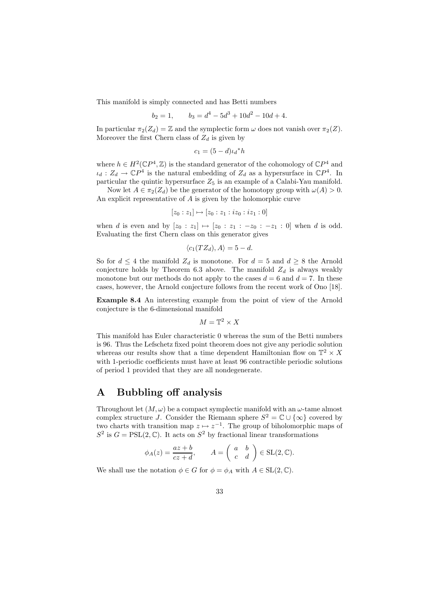This manifold is simply connected and has Betti numbers

$$
b_2 = 1, \qquad b_3 = d^4 - 5d^3 + 10d^2 - 10d + 4.
$$

In particular  $\pi_2(Z_d) = \mathbb{Z}$  and the symplectic form  $\omega$  does not vanish over  $\pi_2(Z)$ . Moreover the first Chern class of  $Z_d$  is given by

$$
c_1 = (5 - d)\iota_d * h
$$

where  $h \in H^2(\mathbb{C}P^4, \mathbb{Z})$  is the standard generator of the cohomology of  $\mathbb{C}P^4$  and  $\iota_d : Z_d \to \mathbb{C}P^4$  is the natural embedding of  $Z_d$  as a hypersurface in  $\mathbb{C}P^4$ . In particular the quintic hypersurface  $Z_5$  is an example of a Calabi-Yau manifold.

Now let  $A \in \pi_2(Z_d)$  be the generator of the homotopy group with  $\omega(A) > 0$ . An explicit representative of A is given by the holomorphic curve

$$
[z_0:z_1] \mapsto [z_0:z_1:iz_0:iz_1:0]
$$

when d is even and by  $[z_0 : z_1] \mapsto [z_0 : z_1 : -z_0 : -z_1 : 0]$  when d is odd. Evaluating the first Chern class on this generator gives

$$
\langle c_1(TZ_d), A \rangle = 5 - d.
$$

So for  $d \leq 4$  the manifold  $Z_d$  is monotone. For  $d = 5$  and  $d \geq 8$  the Arnold conjecture holds by Theorem 6.3 above. The manifold  $Z_d$  is always weakly monotone but our methods do not apply to the cases  $d = 6$  and  $d = 7$ . In these cases, however, the Arnold conjecture follows from the recent work of Ono [18].

Example 8.4 An interesting example from the point of view of the Arnold conjecture is the 6-dimensional manifold

$$
M = \mathbb{T}^2 \times X
$$

This manifold has Euler characteristic 0 whereas the sum of the Betti numbers is 96. Thus the Lefschetz fixed point theorem does not give any periodic solution whereas our results show that a time dependent Hamiltonian flow on  $\mathbb{T}^2 \times X$ with 1-periodic coefficients must have at least 96 contractible periodic solutions of period 1 provided that they are all nondegenerate.

# A Bubbling off analysis

Throughout let  $(M, \omega)$  be a compact symplectic manifold with an  $\omega$ -tame almost complex structure J. Consider the Riemann sphere  $S^2 = \mathbb{C} \cup \{\infty\}$  covered by two charts with transition map  $z \mapsto z^{-1}$ . The group of biholomorphic maps of  $S^2$  is  $G = \text{PSL}(2, \mathbb{C})$ . It acts on  $S^2$  by fractional linear transformations

$$
\phi_A(z) = \frac{az+b}{cz+d}, \qquad A = \begin{pmatrix} a & b \\ c & d \end{pmatrix} \in SL(2, \mathbb{C}).
$$

We shall use the notation  $\phi \in G$  for  $\phi = \phi_A$  with  $A \in SL(2, \mathbb{C})$ .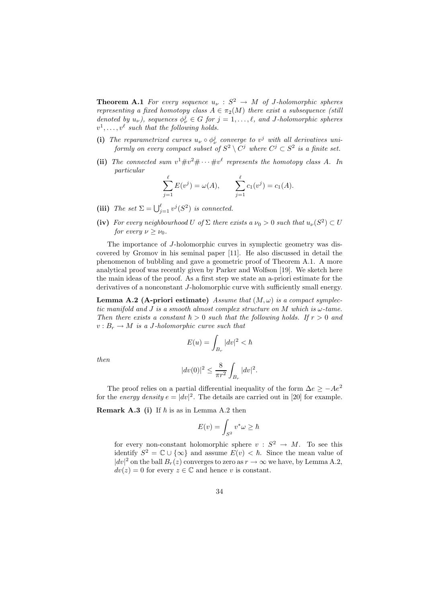**Theorem A.1** For every sequence  $u_{\nu}$  :  $S^2 \rightarrow M$  of J-holomorphic spheres representing a fixed homotopy class  $A \in \pi_2(M)$  there exist a subsequence (still denoted by  $u_{\nu}$ ), sequences  $\phi_{\nu}^{j} \in G$  for  $j = 1, \ldots, \ell$ , and J-holomorphic spheres  $v^1, \ldots, v^\ell$  such that the following holds.

- (i) The reparametrized curves  $u_{\nu} \circ \phi_{\nu}^{j}$  converge to  $v^{j}$  with all derivatives uniformly on every compact subset of  $S^2 \setminus C^j$  where  $C^j \subset S^2$  is a finite set.
- (ii) The connected sum  $v^1 \# v^2 \# \cdots \# v^{\ell}$  represents the homotopy class A. In particular

$$
\sum_{j=1}^{\ell} E(v^j) = \omega(A), \qquad \sum_{j=1}^{\ell} c_1(v^j) = c_1(A).
$$

- (iii) The set  $\Sigma = \bigcup_{j=1}^{\ell} v^j(S^2)$  is connected.
- (iv) For every neighbourhood U of  $\Sigma$  there exists a  $\nu_0 > 0$  such that  $u_{\nu}(S^2) \subset U$ for every  $\nu \geq \nu_0$ .

The importance of J-holomorphic curves in symplectic geometry was discovered by Gromov in his seminal paper [11]. He also discussed in detail the phenomenon of bubbling and gave a geometric proof of Theorem A.1. A more analytical proof was recently given by Parker and Wolfson [19]. We sketch here the main ideas of the proof. As a first step we state an a-priori estimate for the derivatives of a nonconstant J-holomorphic curve with sufficiently small energy.

**Lemma A.2 (A-priori estimate)** Assume that  $(M, \omega)$  is a compact symplectic manifold and J is a smooth almost complex structure on M which is  $\omega$ -tame. Then there exists a constant  $\hbar > 0$  such that the following holds. If  $r > 0$  and  $v : B_r \to M$  is a J-holomorphic curve such that

$$
E(u)=\int_{B_r}|dv|^2<\hbar
$$

then

$$
|dv(0)|^2 \le \frac{8}{\pi r^2} \int_{B_r} |dv|^2.
$$

The proof relies on a partial differential inequality of the form  $\Delta e \ge -Ae^2$ for the *energy density*  $e = |dv|^2$ . The details are carried out in [20] for example.

**Remark A.3** (i) If  $\hbar$  is as in Lemma A.2 then

$$
E(v) = \int_{S^2} v^* \omega \ge \hbar
$$

for every non-constant holomorphic sphere  $v : S^2 \to M$ . To see this identify  $S^2 = \mathbb{C} \cup \{\infty\}$  and assume  $E(v) < \hbar$ . Since the mean value of  $|dv|^2$  on the ball  $B_r(z)$  converges to zero as  $r \to \infty$  we have, by Lemma A.2,  $dv(z) = 0$  for every  $z \in \mathbb{C}$  and hence v is constant.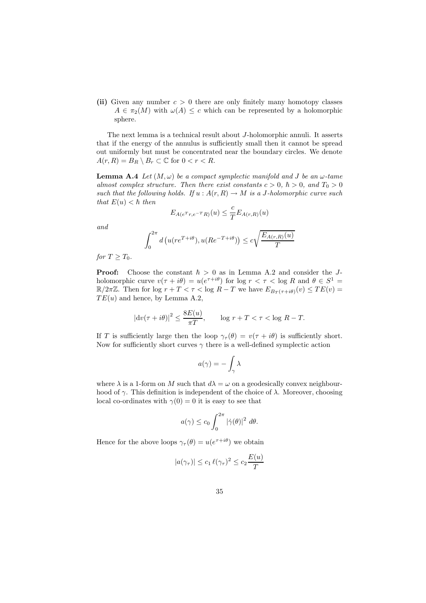(ii) Given any number  $c > 0$  there are only finitely many homotopy classes  $A \in \pi_2(M)$  with  $\omega(A) \leq c$  which can be represented by a holomorphic sphere.

The next lemma is a technical result about J-holomorphic annuli. It asserts that if the energy of the annulus is sufficiently small then it cannot be spread out uniformly but must be concentrated near the boundary circles. We denote  $A(r, R) = B_R \setminus B_r \subset \mathbb{C}$  for  $0 < r < R$ .

**Lemma A.4** Let  $(M, \omega)$  be a compact symplectic manifold and J be an  $\omega$ -tame almost complex structure. Then there exist constants  $c > 0$ ,  $\hbar > 0$ , and  $T_0 > 0$ such that the following holds. If  $u : A(r, R) \to M$  is a J-holomorphic curve such that  $E(u) < \hbar$  then

$$
E_{A(e^Tr,e^{-T}R)}(u) \leq \frac{c}{T} E_{A(r,R)}(u)
$$

and

$$
\int_0^{2\pi} d\left(u(re^{T+i\theta}), u(Re^{-T+i\theta})\right) \le c\sqrt{\frac{E_{A(r,R)}(u)}{T}}
$$

for  $T > T_0$ .

**Proof:** Choose the constant  $\hbar > 0$  as in Lemma A.2 and consider the Jholomorphic curve  $v(\tau + i\theta) = u(e^{\tau + i\theta})$  for  $\log r < \tau < \log R$  and  $\theta \in S^1$  $\mathbb{R}/2\pi\mathbb{Z}$ . Then for log  $r + T < \tau < \log R - T$  we have  $E_{B_T(\tau+i\theta)}(v) \le TE(v)$  $TE(u)$  and hence, by Lemma A.2,

$$
|\mathrm{d}v(\tau + i\theta)|^2 \le \frac{8E(u)}{\pi T}, \qquad \log r + T < \tau < \log R - T.
$$

If T is sufficiently large then the loop  $\gamma_{\tau}(\theta) = v(\tau + i\theta)$  is sufficiently short. Now for sufficiently short curves  $\gamma$  there is a well-defined symplectic action

$$
a(\gamma) = -\int_{\gamma} \lambda
$$

where  $\lambda$  is a 1-form on M such that  $d\lambda = \omega$  on a geodesically convex neighbourhood of  $\gamma$ . This definition is independent of the choice of  $\lambda$ . Moreover, choosing local co-ordinates with  $\gamma(0) = 0$  it is easy to see that

$$
a(\gamma) \le c_0 \int_0^{2\pi} |\dot{\gamma}(\theta)|^2 d\theta.
$$

Hence for the above loops  $\gamma_{\tau}(\theta) = u(e^{\tau + i\theta})$  we obtain

$$
|a(\gamma_{\tau})| \le c_1 \ell(\gamma_{\tau})^2 \le c_2 \frac{E(u)}{T}
$$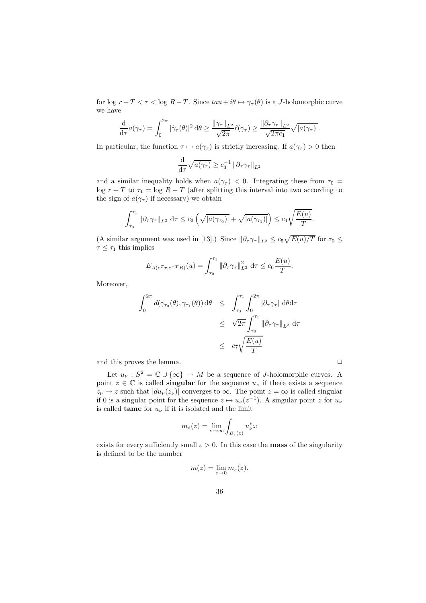for log  $r + T < \tau <$  log  $R - T$ . Since  $tau + i\theta \mapsto \gamma_{\tau}(\theta)$  is a *J*-holomorphic curve we have

$$
\frac{\mathrm{d}}{\mathrm{d}\tau}a(\gamma_\tau) = \int_0^{2\pi} |\dot{\gamma}_\tau(\theta)|^2 \,\mathrm{d}\theta \ge \frac{\|\dot{\gamma}_\tau\|_{L^2}}{\sqrt{2\pi}} \ell(\gamma_\tau) \ge \frac{\|\partial_\tau \gamma_\tau\|_{L^2}}{\sqrt{2\pi c_1}} \sqrt{|a(\gamma_\tau)|}.
$$

In particular, the function  $\tau \mapsto a(\gamma_{\tau})$  is strictly increasing. If  $a(\gamma_{\tau}) > 0$  then

$$
\frac{\mathrm{d}}{\mathrm{d}\tau}\sqrt{a(\gamma_{\tau})} \ge c_3^{-1} \left\| \partial_{\tau} \gamma_{\tau} \right\|_{L^2}
$$

and a similar inequality holds when  $a(\gamma_\tau) < 0$ . Integrating these from  $\tau_0 =$ log  $r + T$  to  $\tau_1 = \log R - T$  (after splitting this interval into two according to the sign of  $a(\gamma_{\tau})$  if necessary) we obtain

$$
\int_{\tau_0}^{\tau_1} \|\partial_\tau \gamma_\tau\|_{L^2} d\tau \leq c_3 \left(\sqrt{|a(\gamma_{\tau_0})|} + \sqrt{|a(\gamma_{\tau_1})|}\right) \leq c_4 \sqrt{\frac{E(u)}{T}}.
$$

(A similar argument was used in [13].) Since  $\|\partial_\tau \gamma_\tau\|_{L^2} \leq c_5 \sqrt{E(u)/T}$  for  $\tau_0 \leq$  $\tau \leq \tau_1$  this implies

$$
E_{A(e^{T}r, e^{-T}R)}(u) = \int_{\tau_0}^{\tau_1} ||\partial_{\tau} \gamma_{\tau}||_{L^2}^2 d\tau \le c_6 \frac{E(u)}{T}.
$$

Moreover,

$$
\int_0^{2\pi} d(\gamma_{\tau_0}(\theta), \gamma_{\tau_1}(\theta)) d\theta \leq \int_{\tau_0}^{\tau_1} \int_0^{2\pi} |\partial_\tau \gamma_\tau| d\theta d\tau
$$
  

$$
\leq \sqrt{2\pi} \int_{\tau_0}^{\tau_1} ||\partial_\tau \gamma_\tau||_{L^2} d\tau
$$
  

$$
\leq c_7 \sqrt{\frac{E(u)}{T}}
$$

and this proves the lemma.  $\hfill \Box$ 

Let  $u_{\nu}$ :  $S^2 = \mathbb{C} \cup {\infty} \rightarrow M$  be a sequence of J-holomorphic curves. A point  $z \in \mathbb{C}$  is called **singular** for the sequence  $u_{\nu}$  if there exists a sequence  $z_{\nu} \to z$  such that  $|du_{\nu}(z_{\nu})|$  converges to  $\infty$ . The point  $z = \infty$  is called singular if 0 is a singular point for the sequence  $z \mapsto u_{\nu}(z^{-1})$ . A singular point z for  $u_{\nu}$ is called **tame** for  $u_{\nu}$  if it is isolated and the limit

$$
m_{\varepsilon}(z) = \lim_{\nu \to \infty} \int_{B_{\varepsilon}(z)} u_{\nu}^* \omega
$$

exists for every sufficiently small  $\varepsilon > 0$ . In this case the **mass** of the singularity is defined to be the number

$$
m(z) = \lim_{\varepsilon \to 0} m_{\varepsilon}(z).
$$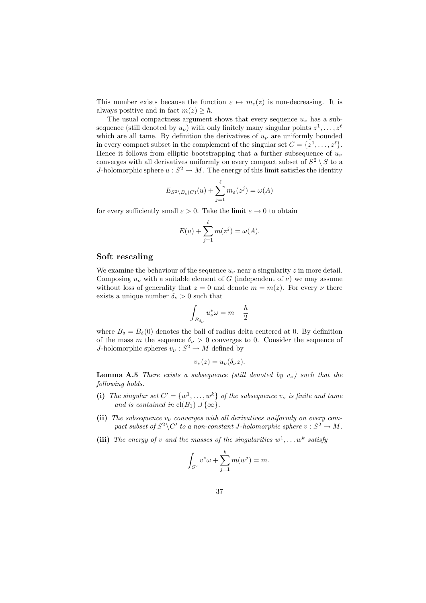This number exists because the function  $\varepsilon \mapsto m_{\varepsilon}(z)$  is non-decreasing. It is always positive and in fact  $m(z) > \hbar$ .

The usual compactness argument shows that every sequence  $u_{\nu}$  has a subsequence (still denoted by  $u_{\nu}$ ) with only finitely many singular points  $z^1, \ldots, z^{\ell}$ which are all tame. By definition the derivatives of  $u<sub>\nu</sub>$  are uniformly bounded in every compact subset in the complement of the singular set  $C = \{z^1, \ldots, z^{\ell}\}.$ Hence it follows from elliptic bootstrapping that a further subsequence of  $u_{\nu}$ converges with all derivatives uniformly on every compact subset of  $S^2 \setminus S$  to a J-holomorphic sphere  $u : S^2 \to M$ . The energy of this limit satisfies the identity

$$
E_{S^2 \setminus B_{\varepsilon}(C)}(u) + \sum_{j=1}^{\ell} m_{\varepsilon}(z^j) = \omega(A)
$$

for every sufficiently small  $\varepsilon > 0$ . Take the limit  $\varepsilon \to 0$  to obtain

$$
E(u) + \sum_{j=1}^{\ell} m(z^j) = \omega(A).
$$

#### Soft rescaling

We examine the behaviour of the sequence  $u<sub>\nu</sub>$  near a singularity z in more detail. Composing  $u_{\nu}$  with a suitable element of G (independent of  $\nu$ ) we may assume without loss of generality that  $z = 0$  and denote  $m = m(z)$ . For every  $\nu$  there exists a unique number  $\delta_{\nu} > 0$  such that

$$
\int_{B_{\delta_{\nu}}}u_{\nu}^*\omega=m-\frac{\hbar}{2}
$$

where  $B_{\delta} = B_{\delta}(0)$  denotes the ball of radius delta centered at 0. By definition of the mass m the sequence  $\delta_{\nu} > 0$  converges to 0. Consider the sequence of J-holomorphic spheres  $v_{\nu}: S^2 \to M$  defined by

$$
v_{\nu}(z) = u_{\nu}(\delta_{\nu}z).
$$

**Lemma A.5** There exists a subsequence (still denoted by  $v_{\nu}$ ) such that the following holds.

- (i) The singular set  $C' = \{w^1, \ldots, w^k\}$  of the subsequence  $v_\nu$  is finite and tame and is contained in  $\text{cl}(B_1) \cup \{\infty\}.$
- (ii) The subsequence  $v_{\nu}$  converges with all derivatives uniformly on every compact subset of  $S^2 \backslash C'$  to a non-constant J-holomorphic sphere  $v : S^2 \to M$ .
- (iii) The energy of v and the masses of the singularities  $w^1, \ldots w^k$  satisfy

$$
\int_{S^2} v^* \omega + \sum_{j=1}^k m(w^j) = m.
$$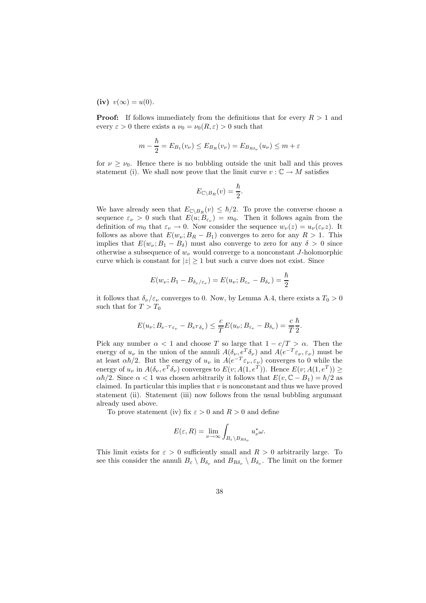(iv)  $v(\infty) = u(0)$ .

**Proof:** If follows immediately from the definitions that for every  $R > 1$  and every  $\varepsilon > 0$  there exists a  $\nu_0 = \nu_0(R, \varepsilon) > 0$  such that

$$
m - \frac{\hbar}{2} = E_{B_1}(v_\nu) \le E_{B_R}(v_\nu) = E_{B_{R\delta_\nu}}(u_\nu) \le m + \varepsilon
$$

for  $\nu \geq \nu_0$ . Hence there is no bubbling outside the unit ball and this proves statement (i). We shall now prove that the limit curve  $v : \mathbb{C} \to M$  satisfies

$$
E_{\mathbb{C}\setminus B_R}(v)=\frac{\hbar}{2}.
$$

We have already seen that  $E_{\mathbb{C}\setminus B_R}(v) \leq \hbar/2$ . To prove the converse choose a sequence  $\varepsilon_{\nu} > 0$  such that  $E(u; B_{\varepsilon_{\nu}}) = m_0$ . Then it follows again from the definition of  $m_0$  that  $\varepsilon_\nu \to 0$ . Now consider the sequence  $w_\nu(z) = u_\nu(\varepsilon_\nu z)$ . It follows as above that  $E(w_\nu; B_R - B_1)$  converges to zero for any  $R > 1$ . This implies that  $E(w_\nu; B_1 - B_\delta)$  must also converge to zero for any  $\delta > 0$  since otherwise a subsequence of  $w_{\nu}$  would converge to a nonconstant J-holomorphic curve which is constant for  $|z| \geq 1$  but such a curve does not exist. Since

$$
E(w_{\nu};B_1-B_{\delta_{\nu}/\varepsilon_{\nu}})=E(u_{\nu};B_{\varepsilon_{\nu}}-B_{\delta_{\nu}})=\frac{\hbar}{2}
$$

it follows that  $\delta_{\nu}/\varepsilon_{\nu}$  converges to 0. Now, by Lemma A.4, there exists a  $T_0 > 0$ such that for  $T > T_0$ 

$$
E(u_{\nu}; B_{e^{-T}\varepsilon_{\nu}} - B_{e^{T}\delta_{\nu}}) \leq \frac{c}{T}E(u_{\nu}; B_{\varepsilon_{\nu}} - B_{\delta_{\nu}}) = \frac{c}{T}\frac{\hbar}{2}
$$

.

Pick any number  $\alpha < 1$  and choose T so large that  $1 - c/T > \alpha$ . Then the energy of  $u_{\nu}$  in the union of the annuli  $A(\delta_{\nu}, e^T \delta_{\nu})$  and  $A(e^{-T} \varepsilon_{\nu}, \varepsilon_{\nu})$  must be at least  $\alpha\hbar/2$ . But the energy of  $u_{\nu}$  in  $A(e^{-T}\varepsilon_{\nu}, \varepsilon_{\nu})$  converges to 0 while the energy of  $u_{\nu}$  in  $A(\delta_{\nu}, e^T \delta_{\nu})$  converges to  $E(v; A(1, e^T))$ . Hence  $E(v; A(1, e^T)) \ge$  $\alpha\hbar/2$ . Since  $\alpha < 1$  was chosen arbitrarily it follows that  $E(v, \mathbb{C} - B_1) = \hbar/2$  as claimed. In particular this implies that  $v$  is nonconstant and thus we have proved statement (ii). Statement (iii) now follows from the usual bubbling argumant already used above.

To prove statement (iv) fix  $\varepsilon > 0$  and  $R > 0$  and define

$$
E(\varepsilon, R) = \lim_{\nu \to \infty} \int_{B_{\varepsilon} \backslash B_{R\delta_{\nu}}} u_{\nu}^* \omega.
$$

This limit exists for  $\varepsilon > 0$  sufficiently small and  $R > 0$  arbitrarily large. To see this consider the annuli  $B_{\varepsilon} \setminus B_{\delta_{\nu}}$  and  $B_{R\delta_{\nu}} \setminus B_{\delta_{\nu}}$ . The limit on the former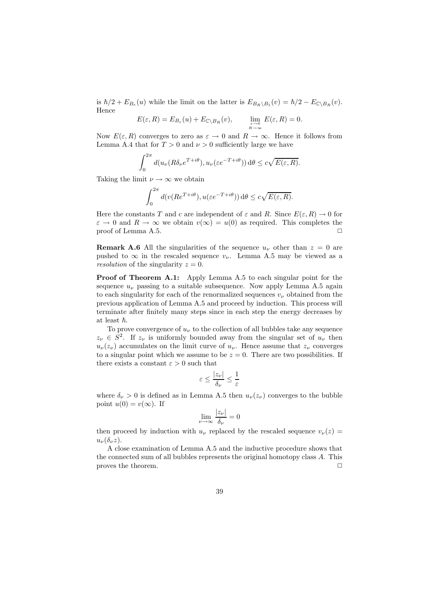is  $\hbar/2 + E_{B_{\varepsilon}}(u)$  while the limit on the latter is  $E_{B_R \setminus B_1}(v) = \hbar/2 - E_{\mathbb{C} \setminus B_R}(v)$ . Hence

$$
E(\varepsilon, R) = E_{B_{\varepsilon}}(u) + E_{\mathbb{C} \setminus B_R}(v), \qquad \lim_{\varepsilon \to 0 \atop R \to \infty} E(\varepsilon, R) = 0.
$$

Now  $E(\varepsilon, R)$  converges to zero as  $\varepsilon \to 0$  and  $R \to \infty$ . Hence it follows from Lemma A.4 that for  $T > 0$  and  $\nu > 0$  sufficiently large we have

$$
\int_0^{2\pi} d(u_\nu(R\delta_\nu e^{T+i\theta}), u_\nu(\varepsilon e^{-T+i\theta})) d\theta \le c\sqrt{E(\varepsilon, R)}.
$$

Taking the limit  $\nu \to \infty$  we obtain

$$
\int_0^{2\pi} d(v(Re^{T+i\theta}), u(\varepsilon e^{-T+i\theta})) d\theta \le c\sqrt{E(\varepsilon, R)}.
$$

Here the constants T and c are independent of  $\varepsilon$  and R. Since  $E(\varepsilon, R) \to 0$  for  $\varepsilon \to 0$  and  $R \to \infty$  we obtain  $v(\infty) = u(0)$  as required. This completes the proof of Lemma A.5. proof of Lemma A.5.

**Remark A.6** All the singularities of the sequence  $u<sub>\nu</sub>$  other than  $z = 0$  are pushed to  $\infty$  in the rescaled sequence  $v_{\nu}$ . Lemma A.5 may be viewed as a resolution of the singularity  $z = 0$ .

Proof of Theorem A.1: Apply Lemma A.5 to each singular point for the sequence  $u_{\nu}$  passing to a suitable subsequence. Now apply Lemma A.5 again to each singularity for each of the renormalized sequences  $v_{\nu}$  obtained from the previous application of Lemma A.5 and proceed by induction. This process will terminate after finitely many steps since in each step the energy decreases by at least  $\hbar$ .

To prove convergence of  $u_{\nu}$  to the collection of all bubbles take any sequence  $z_{\nu} \in S^2$ . If  $z_{\nu}$  is uniformly bounded away from the singular set of  $u_{\nu}$  then  $u_{\nu}(z_{\nu})$  accumulates on the limit curve of  $u_{\nu}$ . Hence assume that  $z_{\nu}$  converges to a singular point which we assume to be  $z = 0$ . There are two possibilities. If there exists a constant  $\varepsilon > 0$  such that

$$
\varepsilon \leq \frac{|z_\nu|}{\delta_\nu} \leq \frac{1}{\varepsilon}
$$

where  $\delta_{\nu} > 0$  is defined as in Lemma A.5 then  $u_{\nu}(z_{\nu})$  converges to the bubble point  $u(0) = v(\infty)$ . If

$$
\lim_{\nu \to \infty} \frac{|z_{\nu}|}{\delta_{\nu}} = 0
$$

then proceed by induction with  $u_{\nu}$  replaced by the rescaled sequence  $v_{\nu}(z)$  =  $u_{\nu}(\delta_{\nu}z).$ 

A close examination of Lemma A.5 and the inductive procedure shows that the connected sum of all bubbles represents the original homotopy class A. This proves the theorem.  $\Box$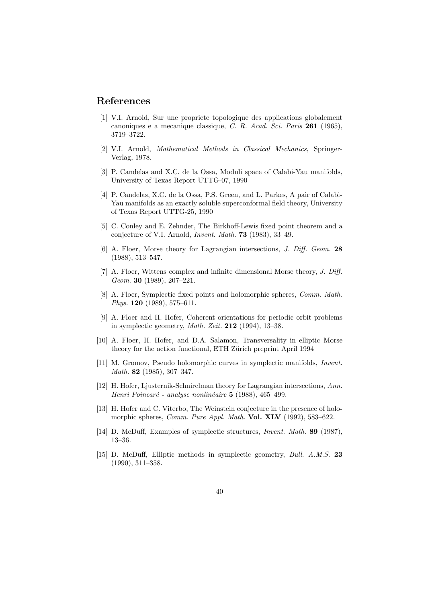# References

- [1] V.I. Arnold, Sur une propriete topologique des applications globalement canoniques e a mecanique classique, C. R. Acad. Sci. Paris 261 (1965), 3719–3722.
- [2] V.I. Arnold, Mathematical Methods in Classical Mechanics, Springer-Verlag, 1978.
- [3] P. Candelas and X.C. de la Ossa, Moduli space of Calabi-Yau manifolds, University of Texas Report UTTG-07, 1990
- [4] P. Candelas, X.C. de la Ossa, P.S. Green, and L. Parkes, A pair of Calabi-Yau manifolds as an exactly soluble superconformal field theory, University of Texas Report UTTG-25, 1990
- [5] C. Conley and E. Zehnder, The Birkhoff-Lewis fixed point theorem and a conjecture of V.I. Arnold, Invent. Math. 73 (1983), 33–49.
- [6] A. Floer, Morse theory for Lagrangian intersections, J. Diff. Geom. 28 (1988), 513–547.
- [7] A. Floer, Wittens complex and infinite dimensional Morse theory, J. Diff. Geom. 30 (1989), 207–221.
- [8] A. Floer, Symplectic fixed points and holomorphic spheres, Comm. Math. Phys. 120 (1989), 575–611.
- [9] A. Floer and H. Hofer, Coherent orientations for periodic orbit problems in symplectic geometry, Math. Zeit. 212 (1994), 13–38.
- [10] A. Floer, H. Hofer, and D.A. Salamon, Transversality in elliptic Morse theory for the action functional, ETH Zürich preprint April 1994
- [11] M. Gromov, Pseudo holomorphic curves in symplectic manifolds, Invent. Math. 82 (1985), 307–347.
- [12] H. Hofer, Ljusternik-Schnirelman theory for Lagrangian intersections, Ann. Henri Poincaré - analyse nonlinéaire  $5$  (1988), 465–499.
- [13] H. Hofer and C. Viterbo, The Weinstein conjecture in the presence of holomorphic spheres, Comm. Pure Appl. Math. Vol. XLV (1992), 583-622.
- [14] D. McDuff, Examples of symplectic structures, Invent. Math. 89 (1987), 13–36.
- [15] D. McDuff, Elliptic methods in symplectic geometry, Bull. A.M.S. 23 (1990), 311–358.